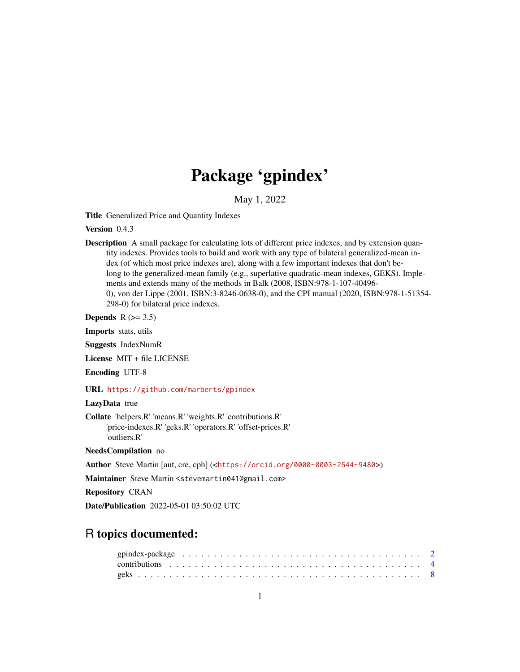# Package 'gpindex'

May 1, 2022

<span id="page-0-0"></span>Title Generalized Price and Quantity Indexes

Version 0.4.3

Description A small package for calculating lots of different price indexes, and by extension quantity indexes. Provides tools to build and work with any type of bilateral generalized-mean index (of which most price indexes are), along with a few important indexes that don't belong to the generalized-mean family (e.g., superlative quadratic-mean indexes, GEKS). Implements and extends many of the methods in Balk (2008, ISBN:978-1-107-40496- 0), von der Lippe (2001, ISBN:3-8246-0638-0), and the CPI manual (2020, ISBN:978-1-51354- 298-0) for bilateral price indexes.

Depends  $R$  ( $>= 3.5$ )

Imports stats, utils

Suggests IndexNumR

License MIT + file LICENSE

Encoding UTF-8

URL <https://github.com/marberts/gpindex>

# LazyData true

Collate 'helpers.R' 'means.R' 'weights.R' 'contributions.R' 'price-indexes.R' 'geks.R' 'operators.R' 'offset-prices.R' 'outliers.R'

NeedsCompilation no

Author Steve Martin [aut, cre, cph] (<<https://orcid.org/0000-0003-2544-9480>>)

Maintainer Steve Martin <stevemartin041@gmail.com>

Repository CRAN

Date/Publication 2022-05-01 03:50:02 UTC

# R topics documented: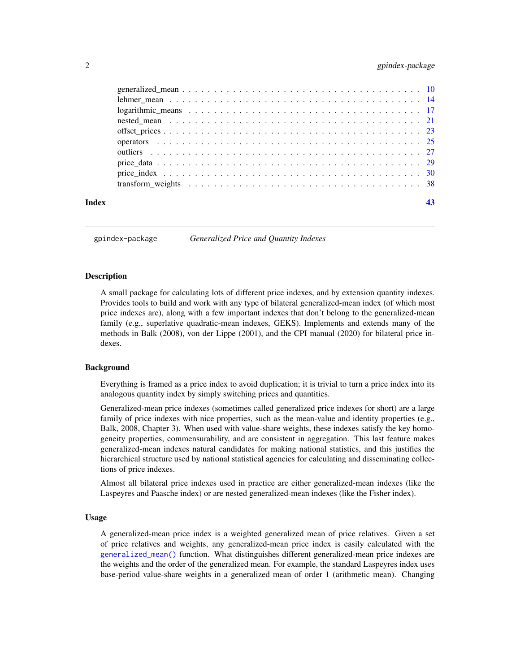# <span id="page-1-0"></span>2 gpindex-package 2 gpindex-package 2 gpindex-package 2 gpindex-package 2 gpindex-package 2 gpindex-package 2 gpindex-package 2 gpindex-package 2 gpindex-package 2 gpindex-package 2 gpindex-package 2 gpindex-package 2 gpin

| Index |  |
|-------|--|

gpindex-package *Generalized Price and Quantity Indexes*

# Description

A small package for calculating lots of different price indexes, and by extension quantity indexes. Provides tools to build and work with any type of bilateral generalized-mean index (of which most price indexes are), along with a few important indexes that don't belong to the generalized-mean family (e.g., superlative quadratic-mean indexes, GEKS). Implements and extends many of the methods in Balk (2008), von der Lippe (2001), and the CPI manual (2020) for bilateral price indexes.

# Background

Everything is framed as a price index to avoid duplication; it is trivial to turn a price index into its analogous quantity index by simply switching prices and quantities.

Generalized-mean price indexes (sometimes called generalized price indexes for short) are a large family of price indexes with nice properties, such as the mean-value and identity properties (e.g., Balk, 2008, Chapter 3). When used with value-share weights, these indexes satisfy the key homogeneity properties, commensurability, and are consistent in aggregation. This last feature makes generalized-mean indexes natural candidates for making national statistics, and this justifies the hierarchical structure used by national statistical agencies for calculating and disseminating collections of price indexes.

Almost all bilateral price indexes used in practice are either generalized-mean indexes (like the Laspeyres and Paasche index) or are nested generalized-mean indexes (like the Fisher index).

# Usage

A generalized-mean price index is a weighted generalized mean of price relatives. Given a set of price relatives and weights, any generalized-mean price index is easily calculated with the [generalized\\_mean\(\)](#page-9-1) function. What distinguishes different generalized-mean price indexes are the weights and the order of the generalized mean. For example, the standard Laspeyres index uses base-period value-share weights in a generalized mean of order 1 (arithmetic mean). Changing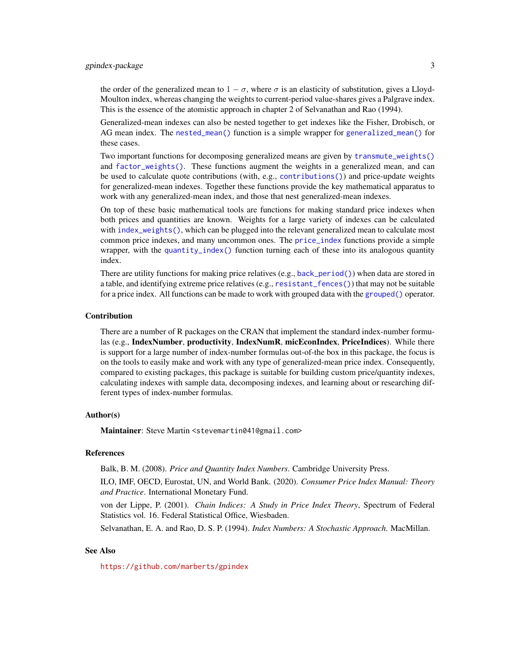<span id="page-2-0"></span>the order of the generalized mean to  $1 - \sigma$ , where  $\sigma$  is an elasticity of substitution, gives a Lloyd-Moulton index, whereas changing the weights to current-period value-shares gives a Palgrave index. This is the essence of the atomistic approach in chapter 2 of Selvanathan and Rao (1994).

Generalized-mean indexes can also be nested together to get indexes like the Fisher, Drobisch, or AG mean index. The [nested\\_mean\(\)](#page-20-1) function is a simple wrapper for [generalized\\_mean\(\)](#page-9-1) for these cases.

Two important functions for decomposing generalized means are given by [transmute\\_weights\(\)](#page-38-0) and [factor\\_weights\(\)](#page-38-0). These functions augment the weights in a generalized mean, and can be used to calculate quote contributions (with, e.g., [contributions\(\)](#page-3-1)) and price-update weights for generalized-mean indexes. Together these functions provide the key mathematical apparatus to work with any generalized-mean index, and those that nest generalized-mean indexes.

On top of these basic mathematical tools are functions for making standard price indexes when both prices and quantities are known. Weights for a large variety of indexes can be calculated with [index\\_weights\(\)](#page-29-1), which can be plugged into the relevant generalized mean to calculate most common price indexes, and many uncommon ones. The [price\\_index](#page-29-2) functions provide a simple wrapper, with the [quantity\\_index\(\)](#page-24-1) function turning each of these into its analogous quantity index.

There are utility functions for making price relatives  $(e.g., back\_period())$  when data are stored in a table, and identifying extreme price relatives (e.g., [resistant\\_fences\(\)](#page-26-1)) that may not be suitable for a price index. All functions can be made to work with grouped data with the [grouped\(\)](#page-24-1) operator.

# Contribution

There are a number of R packages on the CRAN that implement the standard index-number formulas (e.g., IndexNumber, productivity, IndexNumR, micEconIndex, PriceIndices). While there is support for a large number of index-number formulas out-of-the box in this package, the focus is on the tools to easily make and work with any type of generalized-mean price index. Consequently, compared to existing packages, this package is suitable for building custom price/quantity indexes, calculating indexes with sample data, decomposing indexes, and learning about or researching different types of index-number formulas.

# Author(s)

Maintainer: Steve Martin <stevemartin041@gmail.com>

# References

Balk, B. M. (2008). *Price and Quantity Index Numbers*. Cambridge University Press.

ILO, IMF, OECD, Eurostat, UN, and World Bank. (2020). *Consumer Price Index Manual: Theory and Practice*. International Monetary Fund.

von der Lippe, P. (2001). *Chain Indices: A Study in Price Index Theory*, Spectrum of Federal Statistics vol. 16. Federal Statistical Office, Wiesbaden.

Selvanathan, E. A. and Rao, D. S. P. (1994). *Index Numbers: A Stochastic Approach*. MacMillan.

# See Also

<https://github.com/marberts/gpindex>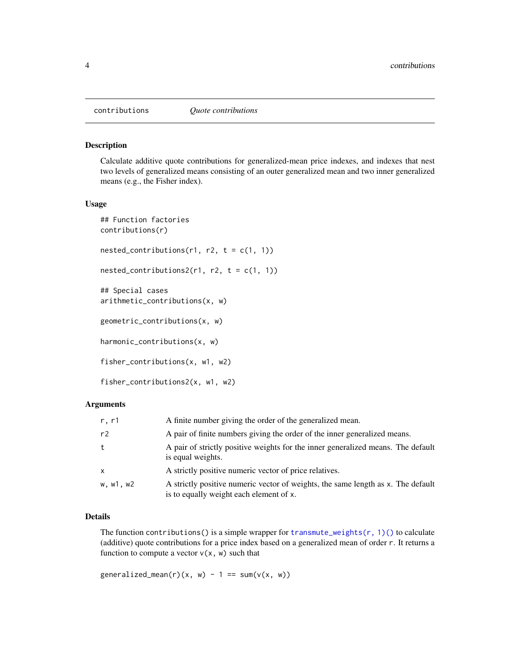<span id="page-3-1"></span><span id="page-3-0"></span>

#### <span id="page-3-2"></span>Description

Calculate additive quote contributions for generalized-mean price indexes, and indexes that nest two levels of generalized means consisting of an outer generalized mean and two inner generalized means (e.g., the Fisher index).

#### Usage

```
## Function factories
contributions(r)
nested_contributions(r1, r2, t = c(1, 1))
nested_contributions2(r1, r2, t = c(1, 1))
## Special cases
arithmetic_contributions(x, w)
geometric_contributions(x, w)
harmonic_contributions(x, w)
fisher_contributions(x, w1, w2)
fisher_contributions2(x, w1, w2)
```
# Arguments

| r, r1     | A finite number giving the order of the generalized mean.                                                                   |
|-----------|-----------------------------------------------------------------------------------------------------------------------------|
| r2        | A pair of finite numbers giving the order of the inner generalized means.                                                   |
| t         | A pair of strictly positive weights for the inner generalized means. The default<br>is equal weights.                       |
| X         | A strictly positive numeric vector of price relatives.                                                                      |
| w. w1. w2 | A strictly positive numeric vector of weights, the same length as x. The default<br>is to equally weight each element of x. |

# Details

The function contributions() is a simple wrapper for transmute\_weights( $r, 1$ )() to calculate (additive) quote contributions for a price index based on a generalized mean of order r. It returns a function to compute a vector  $v(x, w)$  such that

generalized\_mean(r)(x, w) - 1 ==  $sum(v(x, w))$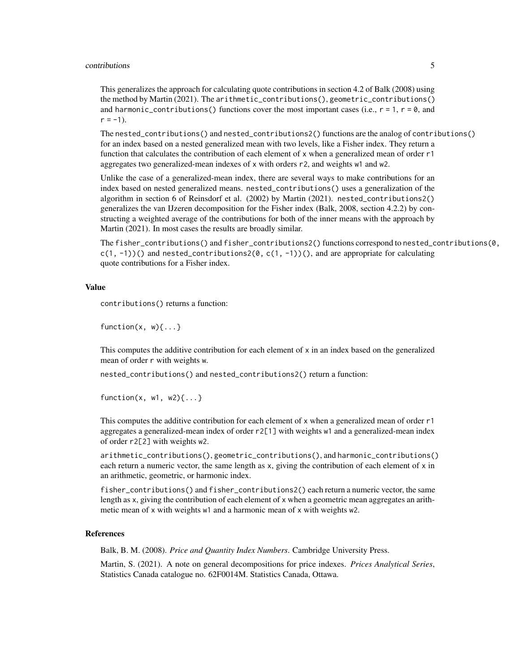#### contributions 5

This generalizes the approach for calculating quote contributions in section 4.2 of Balk (2008) using the method by Martin (2021). The arithmetic\_contributions(), geometric\_contributions() and harmonic\_contributions() functions cover the most important cases (i.e.,  $r = 1$ ,  $r = 0$ , and  $r = -1$ ).

The nested\_contributions() and nested\_contributions2() functions are the analog of contributions() for an index based on a nested generalized mean with two levels, like a Fisher index. They return a function that calculates the contribution of each element of x when a generalized mean of order r1 aggregates two generalized-mean indexes of x with orders r2, and weights w1 and w2.

Unlike the case of a generalized-mean index, there are several ways to make contributions for an index based on nested generalized means. nested\_contributions() uses a generalization of the algorithm in section 6 of Reinsdorf et al. (2002) by Martin (2021). nested\_contributions2() generalizes the van IJzeren decomposition for the Fisher index (Balk, 2008, section 4.2.2) by constructing a weighted average of the contributions for both of the inner means with the approach by Martin (2021). In most cases the results are broadly similar.

The fisher\_contributions() and fisher\_contributions2() functions correspond to nested\_contributions(0,  $c(1, -1)$ )() and nested\_contributions2( $\emptyset$ ,  $c(1, -1)$ )(), and are appropriate for calculating quote contributions for a Fisher index.

# Value

contributions() returns a function:

function $(x, w)$  $\{ \dots \}$ 

This computes the additive contribution for each element of x in an index based on the generalized mean of order r with weights w.

nested\_contributions() and nested\_contributions2() return a function:

```
function(x, w1, w2){\dots}
```
This computes the additive contribution for each element of x when a generalized mean of order r1 aggregates a generalized-mean index of order r2[1] with weights w1 and a generalized-mean index of order r2[2] with weights w2.

arithmetic\_contributions(), geometric\_contributions(), and harmonic\_contributions() each return a numeric vector, the same length as x, giving the contribution of each element of x in an arithmetic, geometric, or harmonic index.

fisher\_contributions() and fisher\_contributions2() each return a numeric vector, the same length as x, giving the contribution of each element of x when a geometric mean aggregates an arithmetic mean of x with weights w1 and a harmonic mean of x with weights w2.

# References

Balk, B. M. (2008). *Price and Quantity Index Numbers*. Cambridge University Press.

Martin, S. (2021). A note on general decompositions for price indexes. *Prices Analytical Series*, Statistics Canada catalogue no. 62F0014M. Statistics Canada, Ottawa.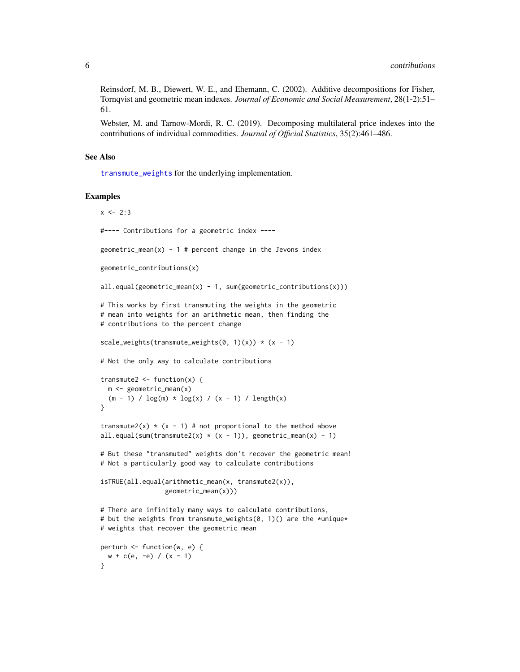<span id="page-5-0"></span>Reinsdorf, M. B., Diewert, W. E., and Ehemann, C. (2002). Additive decompositions for Fisher, Tornqvist and geometric mean indexes. *Journal of Economic and Social Measurement*, 28(1-2):51– 61.

Webster, M. and Tarnow-Mordi, R. C. (2019). Decomposing multilateral price indexes into the contributions of individual commodities. *Journal of Official Statistics*, 35(2):461–486.

# See Also

[transmute\\_weights](#page-38-0) for the underlying implementation.

# Examples

```
x < -2:3#---- Contributions for a geometric index ----
geometric_mean(x) - 1 # percent change in the Jevons index
geometric_contributions(x)
all.equals(geometric_mean(x) - 1, sum(geometric_countributions(x)))# This works by first transmuting the weights in the geometric
# mean into weights for an arithmetic mean, then finding the
# contributions to the percent change
scale_weights(transmute_weights(0, 1)(x)) * (x - 1)# Not the only way to calculate contributions
transmute2 \leftarrow function(x) {
  m <- geometric_mean(x)
  (m - 1) / log(m) * log(x) / (x - 1) / length(x)}
transmute2(x) \star (x - 1) # not proportional to the method above
all.equal(sum(transmute2(x) *(x - 1), geometric_mean(x) - 1)
# But these "transmuted" weights don't recover the geometric mean!
# Not a particularly good way to calculate contributions
isTRUE(all.equal(arithmetic_mean(x, transmute2(x)),
                 geometric_mean(x)))
# There are infinitely many ways to calculate contributions,
# but the weights from transmute_weights(0, 1)() are the *unique*
# weights that recover the geometric mean
perturb <- function(w, e) {
  w + c(e, -e) / (x - 1)}
```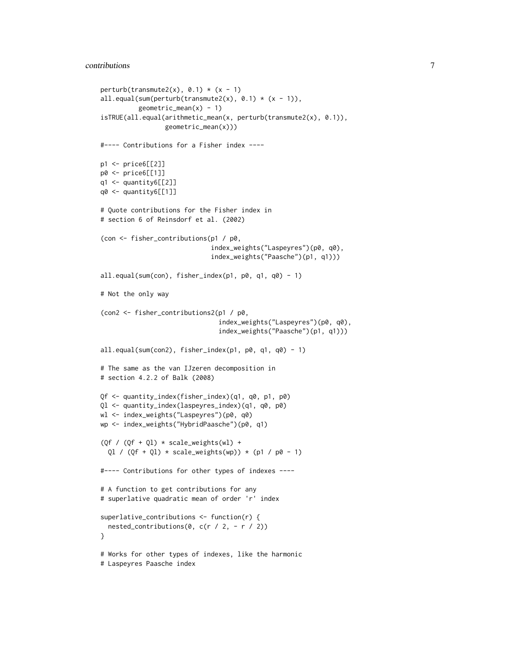```
perturb(transmute2(x), 0.1) * (x - 1)
all.equal(sum(perturb(transmute2(x), 0.1) * (x - 1)),
          geometric_mean(x) - 1)isTRUE(all.equal(arithmetic_mean(x, perturb(transmute2(x), 0.1)),
                 geometric_mean(x)))
#---- Contributions for a Fisher index ----
p1 <- price6[[2]]
p0 <- price6[[1]]
q1 <- quantity6[[2]]
q0 <- quantity6[[1]]
# Quote contributions for the Fisher index in
# section 6 of Reinsdorf et al. (2002)
(con <- fisher_contributions(p1 / p0,
                             index_weights("Laspeyres")(p0, q0),
                             index_weights("Paasche")(p1, q1)))
all.equal(sum(con), fisher_index(p1, p0, q1, q0) - 1)
# Not the only way
(con2 <- fisher_contributions2(p1 / p0,
                               index_weights("Laspeyres")(p0, q0),
                               index_weights("Paasche")(p1, q1)))
all.equal(sum(con2), fisher_index(p1, p0, q1, q0) - 1)
# The same as the van IJzeren decomposition in
# section 4.2.2 of Balk (2008)
Qf <- quantity_index(fisher_index)(q1, q0, p1, p0)
Ql <- quantity_index(laspeyres_index)(q1, q0, p0)
wl <- index_weights("Laspeyres")(p0, q0)
wp <- index_weights("HybridPaasche")(p0, q1)
(Qf / (Qf + Ql) * scale\_weights(wl) +Q1 / (Qf + Q1) * scale\_weights(wp)) * (p1 / p0 - 1)#---- Contributions for other types of indexes ----
# A function to get contributions for any
# superlative quadratic mean of order 'r' index
superlative_contributions <- function(r) {
 nested_contributions(0, c(r / 2, -r / 2))
}
# Works for other types of indexes, like the harmonic
# Laspeyres Paasche index
```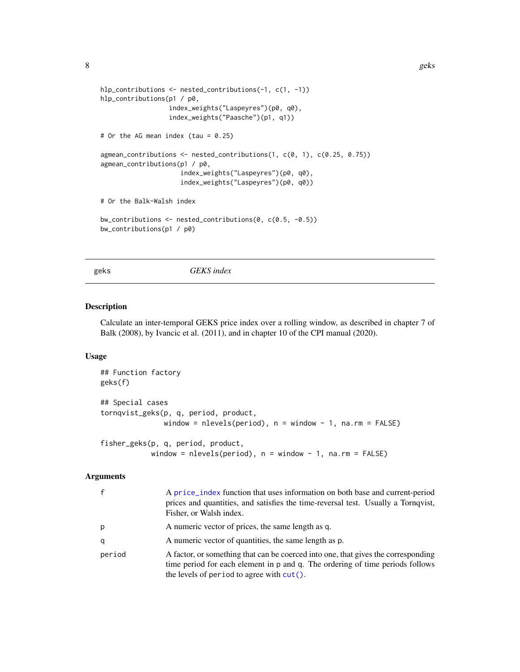```
hlp_contributions <- nested_contributions(-1, c(1, -1))
hlp_contributions(p1 / p0,
                  index_weights("Laspeyres")(p0, q0),
                  index_weights("Paasche")(p1, q1))
# Or the AG mean index (tau = 0.25)
agmean_contributions <- nested_contributions(1, c(0, 1), c(0.25, 0.75))
agmean_contributions(p1 / p0,
                     index_weights("Laspeyres")(p0, q0),
                     index_weights("Laspeyres")(p0, q0))
# Or the Balk-Walsh index
bw_contributions <- nested_contributions(0, c(0.5, -0.5))
bw_contributions(p1 / p0)
```
<span id="page-7-1"></span>geks *GEKS index*

#### Description

Calculate an inter-temporal GEKS price index over a rolling window, as described in chapter 7 of Balk (2008), by Ivancic et al. (2011), and in chapter 10 of the CPI manual (2020).

# Usage

```
## Function factory
geks(f)
## Special cases
tornqvist_geks(p, q, period, product,
               window = nlevels(period), n = window - 1, na.rm = FALSE)
fisher_geks(p, q, period, product,
            window = nlevels(period), n = window - 1, na.rm = FALSE)
```
# Arguments

| $\mathbf{f}$ | A price_index function that uses information on both base and current-period<br>prices and quantities, and satisfies the time-reversal test. Usually a Tornqvist,<br>Fisher, or Walsh index.                       |
|--------------|--------------------------------------------------------------------------------------------------------------------------------------------------------------------------------------------------------------------|
| p            | A numeric vector of prices, the same length as q.                                                                                                                                                                  |
| q            | A numeric vector of quantities, the same length as p.                                                                                                                                                              |
| period       | A factor, or something that can be coerced into one, that gives the corresponding<br>time period for each element in p and q. The ordering of time periods follows<br>the levels of period to agree with $cut()$ . |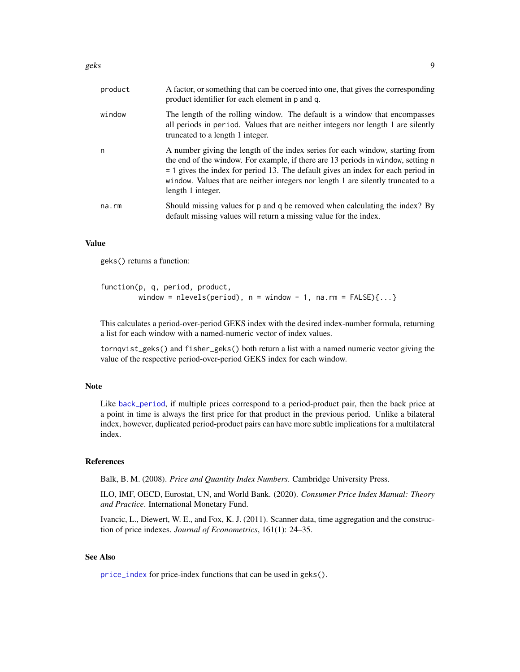<span id="page-8-0"></span>

| product | A factor, or something that can be coerced into one, that gives the corresponding<br>product identifier for each element in p and q.                                                                                                                                                                                                                              |
|---------|-------------------------------------------------------------------------------------------------------------------------------------------------------------------------------------------------------------------------------------------------------------------------------------------------------------------------------------------------------------------|
| window  | The length of the rolling window. The default is a window that encompasses<br>all periods in period. Values that are neither integers nor length 1 are silently<br>truncated to a length 1 integer.                                                                                                                                                               |
| n       | A number giving the length of the index series for each window, starting from<br>the end of the window. For example, if there are 13 periods in window, setting n<br>$=$ 1 gives the index for period 13. The default gives an index for each period in<br>window. Values that are neither integers nor length 1 are silently truncated to a<br>length 1 integer. |
| na.rm   | Should missing values for p and q be removed when calculating the index? By<br>default missing values will return a missing value for the index.                                                                                                                                                                                                                  |

# Value

geks() returns a function:

```
function(p, q, period, product,
        window = nlevels(period), n = window - 1, na.rm = FALSE){...}
```
This calculates a period-over-period GEKS index with the desired index-number formula, returning a list for each window with a named-numeric vector of index values.

tornqvist\_geks() and fisher\_geks() both return a list with a named numeric vector giving the value of the respective period-over-period GEKS index for each window.

# **Note**

Like [back\\_period](#page-22-1), if multiple prices correspond to a period-product pair, then the back price at a point in time is always the first price for that product in the previous period. Unlike a bilateral index, however, duplicated period-product pairs can have more subtle implications for a multilateral index.

# References

Balk, B. M. (2008). *Price and Quantity Index Numbers*. Cambridge University Press.

ILO, IMF, OECD, Eurostat, UN, and World Bank. (2020). *Consumer Price Index Manual: Theory and Practice*. International Monetary Fund.

Ivancic, L., Diewert, W. E., and Fox, K. J. (2011). Scanner data, time aggregation and the construction of price indexes. *Journal of Econometrics*, 161(1): 24–35.

# See Also

[price\\_index](#page-29-2) for price-index functions that can be used in geks().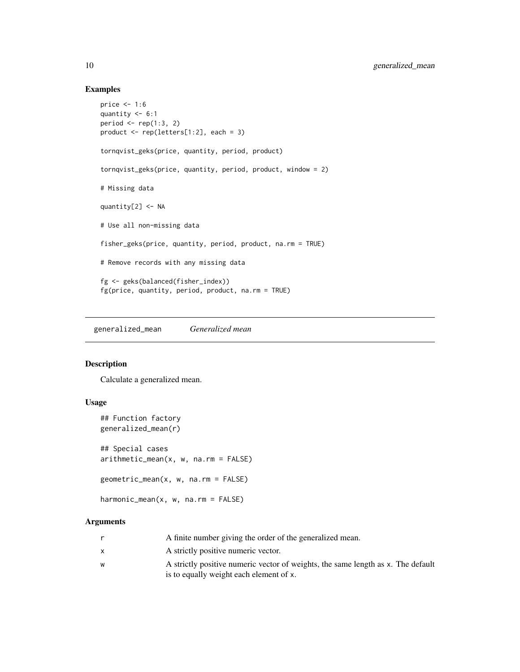# Examples

```
price <- 1:6
quantity <-6:1period \leq rep(1:3, 2)
product <- rep(letters[1:2], each = 3)
tornqvist_geks(price, quantity, period, product)
tornqvist_geks(price, quantity, period, product, window = 2)
# Missing data
quantity[2] <- NA
# Use all non-missing data
fisher_geks(price, quantity, period, product, na.rm = TRUE)
# Remove records with any missing data
fg <- geks(balanced(fisher_index))
fg(price, quantity, period, product, na.rm = TRUE)
```
<span id="page-9-1"></span>generalized\_mean *Generalized mean*

# Description

Calculate a generalized mean.

# Usage

```
## Function factory
generalized_mean(r)
## Special cases
arithmetic_mean(x, w, na.rm = FALSE)geometric_mean(x, w, na.rm = FALSE)
```

```
harmonic_mean(x, w, na.rm = FALSE)
```
# Arguments

|   | A finite number giving the order of the generalized mean.                        |
|---|----------------------------------------------------------------------------------|
|   | A strictly positive numeric vector.                                              |
| W | A strictly positive numeric vector of weights, the same length as x. The default |
|   | is to equally weight each element of x.                                          |

<span id="page-9-0"></span>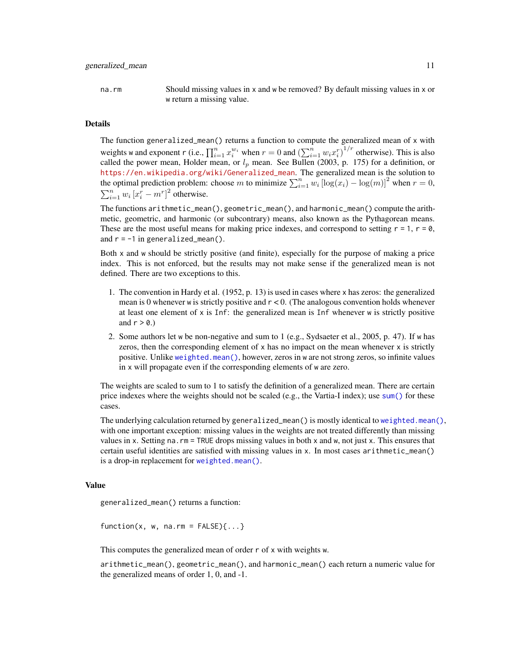<span id="page-10-0"></span>

na.rm Should missing values in x and w be removed? By default missing values in x or w return a missing value.

# Details

The function generalized\_mean() returns a function to compute the generalized mean of x with weights w and exponent r (i.e.,  $\prod_{i=1}^n x_i^{w_i}$  when  $r = 0$  and  $\left(\sum_{i=1}^n w_i x_i^r\right)^{1/r}$  otherwise). This is also called the power mean, Holder mean, or  $l_p$  mean. See Bullen (2003, p. 175) for a definition, or [https://en.wikipedia.org/wiki/Generalized\\_mean](https://en.wikipedia.org/wiki/Generalized_mean). The generalized mean is the solution to the optimal prediction problem: choose m to minimize  $\sum_{i=1}^{n} w_i [\log(x_i) - \log(m)]^2$  when  $r = 0$ ,  $\sum_{i=1}^{n} w_i [x_i^r - m^r]^2$  otherwise.

The functions arithmetic\_mean(), geometric\_mean(), and harmonic\_mean() compute the arithmetic, geometric, and harmonic (or subcontrary) means, also known as the Pythagorean means. These are the most useful means for making price indexes, and correspond to setting  $r = 1$ ,  $r = 0$ , and  $r = -1$  in generalized\_mean().

Both x and w should be strictly positive (and finite), especially for the purpose of making a price index. This is not enforced, but the results may not make sense if the generalized mean is not defined. There are two exceptions to this.

- 1. The convention in Hardy et al. (1952, p. 13) is used in cases where x has zeros: the generalized mean is 0 whenever w is strictly positive and  $r < 0$ . (The analogous convention holds whenever at least one element of  $x$  is Inf: the generalized mean is Inf whenever  $w$  is strictly positive and  $r > 0.$ )
- 2. Some authors let w be non-negative and sum to 1 (e.g., Sydsaeter et al., 2005, p. 47). If w has zeros, then the corresponding element of  $x$  has no impact on the mean whenever  $x$  is strictly positive. Unlike [weighted.mean\(\)](#page-0-0), however, zeros in w are not strong zeros, so infinite values in x will propagate even if the corresponding elements of w are zero.

The weights are scaled to sum to 1 to satisfy the definition of a generalized mean. There are certain price indexes where the weights should not be scaled (e.g., the Vartia-I index); use [sum\(\)](#page-0-0) for these cases.

The underlying calculation returned by generalized\_mean() is mostly identical to [weighted.mean\(\)](#page-0-0), with one important exception: missing values in the weights are not treated differently than missing values in x. Setting na.rm = TRUE drops missing values in both x and w, not just x. This ensures that certain useful identities are satisfied with missing values in x. In most cases arithmetic\_mean() is a drop-in replacement for [weighted.mean\(\)](#page-0-0).

# Value

generalized\_mean() returns a function:

 $function(x, w, na.rm = FALSE){...}$ 

This computes the generalized mean of order r of x with weights w.

arithmetic\_mean(), geometric\_mean(), and harmonic\_mean() each return a numeric value for the generalized means of order 1, 0, and -1.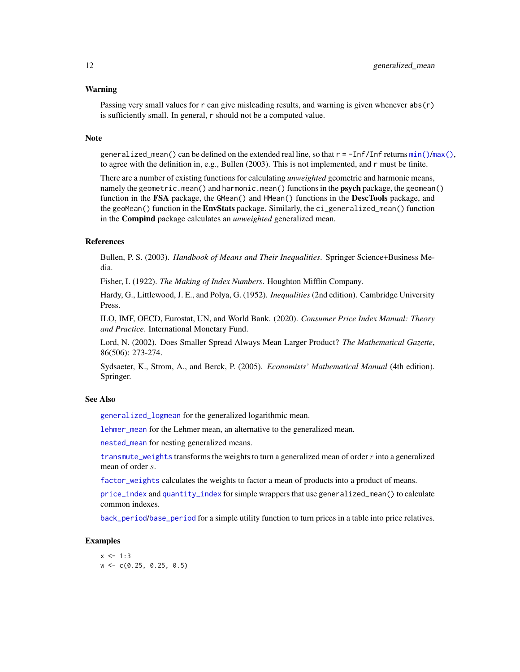# <span id="page-11-0"></span>Warning

Passing very small values for  $r$  can give misleading results, and warning is given whenever  $abs(r)$ is sufficiently small. In general, r should not be a computed value.

# Note

generalized\_mean() can be defined on the extended real line, so that  $r = -\text{Inf}/\text{Inf}$  returns  $\min(\frac{1}{m}x)$ , to agree with the definition in, e.g., Bullen (2003). This is not implemented, and r must be finite.

There are a number of existing functions for calculating *unweighted* geometric and harmonic means, namely the geometric.mean() and harmonic.mean() functions in the **psych** package, the geomean() function in the FSA package, the GMean() and HMean() functions in the DescTools package, and the geoMean() function in the **EnvStats** package. Similarly, the  $ci$  generalized mean() function in the Compind package calculates an *unweighted* generalized mean.

# References

Bullen, P. S. (2003). *Handbook of Means and Their Inequalities*. Springer Science+Business Media.

Fisher, I. (1922). *The Making of Index Numbers*. Houghton Mifflin Company.

Hardy, G., Littlewood, J. E., and Polya, G. (1952). *Inequalities* (2nd edition). Cambridge University Press.

ILO, IMF, OECD, Eurostat, UN, and World Bank. (2020). *Consumer Price Index Manual: Theory and Practice*. International Monetary Fund.

Lord, N. (2002). Does Smaller Spread Always Mean Larger Product? *The Mathematical Gazette*, 86(506): 273-274.

Sydsaeter, K., Strom, A., and Berck, P. (2005). *Economists' Mathematical Manual* (4th edition). Springer.

# See Also

[generalized\\_logmean](#page-16-1) for the generalized logarithmic mean.

[lehmer\\_mean](#page-13-1) for the Lehmer mean, an alternative to the generalized mean.

[nested\\_mean](#page-20-1) for nesting generalized means.

[transmute\\_weights](#page-38-0) transforms the weights to turn a generalized mean of order  $r$  into a generalized mean of order s.

[factor\\_weights](#page-38-0) calculates the weights to factor a mean of products into a product of means.

[price\\_index](#page-29-2) and [quantity\\_index](#page-24-1) for simple wrappers that use generalized\_mean() to calculate common indexes.

[back\\_period](#page-22-1)/[base\\_period](#page-22-1) for a simple utility function to turn prices in a table into price relatives.

# **Examples**

 $x < -1:3$ w <- c(0.25, 0.25, 0.5)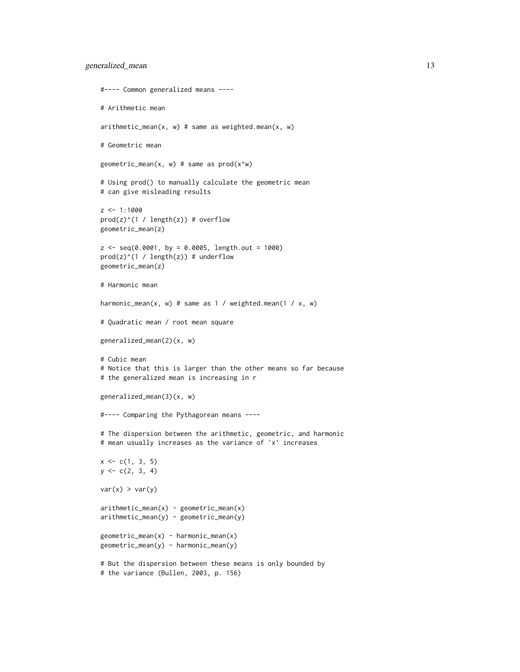```
#---- Common generalized means ----
# Arithmetic mean
arithmetic_mean(x, w) # same as weighted.mean(x, w)# Geometric mean
geometric_mean(x, w) # same as prod(x^iw)# Using prod() to manually calculate the geometric mean
# can give misleading results
z <- 1:1000
prod(z)^{(1)} / length(z)) # overflow
geometric_mean(z)
z \leq -seq(0.0001, by = 0.0005, length.out = 1000)prod(z)^{(1)} length(z)) # underflow
geometric_mean(z)
# Harmonic mean
harmonic_mean(x, w) # same as 1 / weighted.mean(1 / x, w)
# Quadratic mean / root mean square
generalized_mean(2)(x, w)
# Cubic mean
# Notice that this is larger than the other means so far because
# the generalized mean is increasing in r
generalized_mean(3)(x, w)
#---- Comparing the Pythagorean means ----
# The dispersion between the arithmetic, geometric, and harmonic
# mean usually increases as the variance of 'x' increases
x \leq c(1, 3, 5)y \leftarrow c(2, 3, 4)var(x) > var(y)arithmetic_mean(x) - geometric_mean(x)arithmetic_mean(y) - geometric_mean(y)geometric_mean(x) - harmonic_mean(x)geometric_mean(y) - harmonic_mean(y)
# But the dispersion between these means is only bounded by
# the variance (Bullen, 2003, p. 156)
```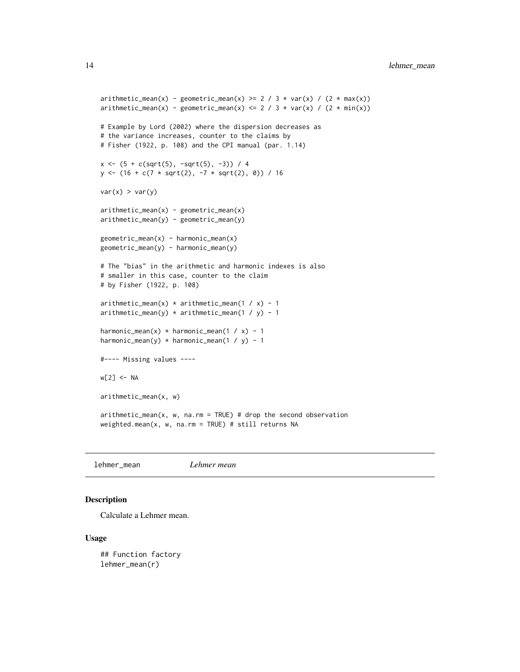```
arithmetic_mean(x) - geometric_mean(x) \ge 2 / 3 * var(x) / (2 * max(x))arithmetic_mean(x) - geometric_mean(x) <= 2 / 3 * var(x) / (2 * min(x))
# Example by Lord (2002) where the dispersion decreases as
# the variance increases, counter to the claims by
# Fisher (1922, p. 108) and the CPI manual (par. 1.14)
x \leftarrow (5 + c(sqrt(5), -sqrt(5), -3)) / 4y \leftarrow (16 + c(7 * sqrt(2), -7 * sqrt(2), 0)) / 16var(x) > var(y)arithmetic_mean(x) - geometric_mean(x)arithmetic_mean(y) - geometric_mean(y)geometric_mean(x) - harmonic_mean(x)geometric_mean(y) - harmonic_mean(y)
# The "bias" in the arithmetic and harmonic indexes is also
# smaller in this case, counter to the claim
# by Fisher (1922, p. 108)
arithmetic_mean(x) * arithmetic_mean(1 / x) - 1
arithmetic_mean(y) * arithmetic_mean(1 / y) - 1
harmonic_mean(x) * harmonic_mean(1 / x) - 1
harmonic_mean(y) * harmonic_mean(1 / y) - 1
#---- Missing values ----
w[2] <- NA
arithmetic_mean(x, w)
arithmetic_mean(x, w, na.rm = TRUE) # drop the second observation
weighted.mean(x, w, na.rm = TRUE) # still returns NA
```
<span id="page-13-1"></span>lehmer\_mean *Lehmer mean*

# Description

Calculate a Lehmer mean.

#### Usage

## Function factory lehmer\_mean(r)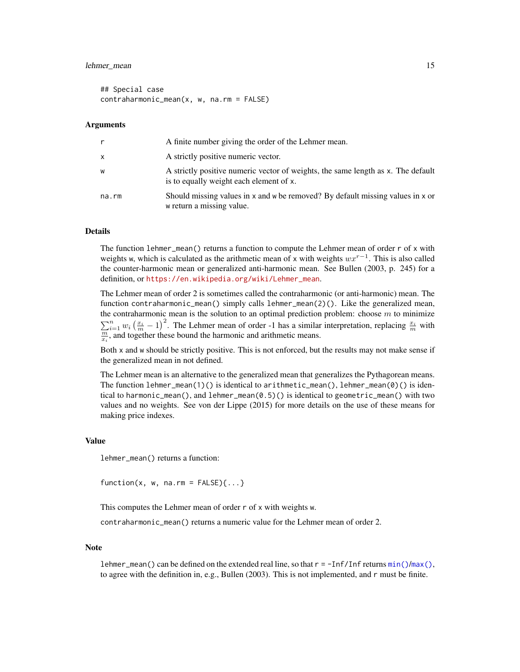# <span id="page-14-0"></span>lehmer\_mean 15

## Special case contraharmonic\_mean(x, w, na.rm = FALSE)

#### Arguments

| r            | A finite number giving the order of the Lehmer mean.                                                                        |
|--------------|-----------------------------------------------------------------------------------------------------------------------------|
| $\mathsf{x}$ | A strictly positive numeric vector.                                                                                         |
| W            | A strictly positive numeric vector of weights, the same length as x. The default<br>is to equally weight each element of x. |
| na.rm        | Should missing values in x and w be removed? By default missing values in x or<br>w return a missing value.                 |

# Details

The function lehmer\_mean() returns a function to compute the Lehmer mean of order r of x with weights w, which is calculated as the arithmetic mean of x with weights  $wx^{r-1}$ . This is also called the counter-harmonic mean or generalized anti-harmonic mean. See Bullen (2003, p. 245) for a definition, or [https://en.wikipedia.org/wiki/Lehmer\\_mean](https://en.wikipedia.org/wiki/Lehmer_mean).

The Lehmer mean of order 2 is sometimes called the contraharmonic (or anti-harmonic) mean. The function contraharmonic\_mean() simply calls lehmer\_mean(2)(). Like the generalized mean, the contraharmonic mean is the solution to an optimal prediction problem: choose  $m$  to minimize  $\sum_{i=1}^{n} w_i \left(\frac{x_i}{m} - 1\right)^2$ . The Lehmer mean of order -1 has a similar interpretation, replacing  $\frac{x_i}{m}$  with  $\frac{m}{x_i}$ , and together these bound the harmonic and arithmetic means.

Both x and w should be strictly positive. This is not enforced, but the results may not make sense if the generalized mean in not defined.

The Lehmer mean is an alternative to the generalized mean that generalizes the Pythagorean means. The function lehmer\_mean(1)() is identical to arithmetic\_mean(), lehmer\_mean(0)() is identical to harmonic\_mean(), and lehmer\_mean( $0.5$ )() is identical to geometric\_mean() with two values and no weights. See von der Lippe (2015) for more details on the use of these means for making price indexes.

#### Value

lehmer\_mean() returns a function:

 $function(x, w, na.rm = FALSE){...}$ 

This computes the Lehmer mean of order r of x with weights w.

contraharmonic\_mean() returns a numeric value for the Lehmer mean of order 2.

#### Note

lehmer\_mean() can be defined on the extended real line, so that  $r = -\text{Inf}/\text{Inf}$  returns  $\min(\frac{\text{max}}{\text{inf}})$ , to agree with the definition in, e.g., Bullen (2003). This is not implemented, and r must be finite.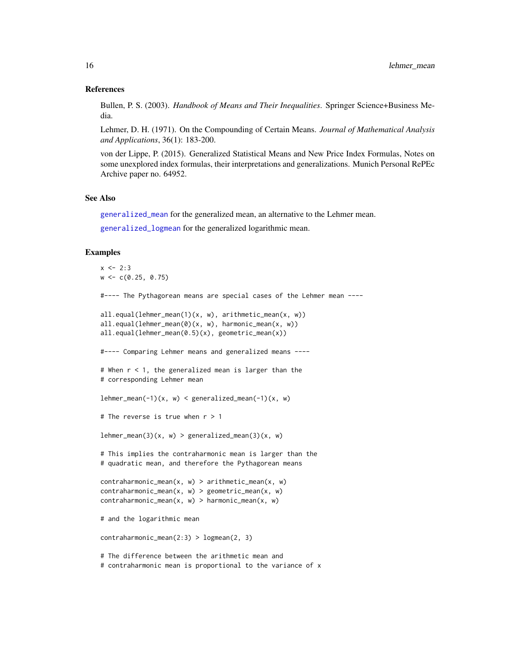# <span id="page-15-0"></span>References

Bullen, P. S. (2003). *Handbook of Means and Their Inequalities*. Springer Science+Business Media.

Lehmer, D. H. (1971). On the Compounding of Certain Means. *Journal of Mathematical Analysis and Applications*, 36(1): 183-200.

von der Lippe, P. (2015). Generalized Statistical Means and New Price Index Formulas, Notes on some unexplored index formulas, their interpretations and generalizations. Munich Personal RePEc Archive paper no. 64952.

#### See Also

[generalized\\_mean](#page-9-1) for the generalized mean, an alternative to the Lehmer mean.

[generalized\\_logmean](#page-16-1) for the generalized logarithmic mean.

# Examples

```
x \le -2:3w \leq c(0.25, 0.75)#---- The Pythagorean means are special cases of the Lehmer mean ----
all.equal(lehmer_mean(1)(x, w), arithmetic_mean(x, w))
all.equal(lehmer_mean(0)(x, w), harmonic_mean(x, w))
all.equal(lehmer_mean(0.5)(x), geometric_mean(x))
#---- Comparing Lehmer means and generalized means ----
# When r < 1, the generalized mean is larger than the
# corresponding Lehmer mean
lehmer_mean(-1)(x, w) < generalized_mean(-1)(x, w)# The reverse is true when r > 1
lehmer_mean(3)(x, w) > generalized_mean(3)(x, w)# This implies the contraharmonic mean is larger than the
# quadratic mean, and therefore the Pythagorean means
contraharmonic_mean(x, w) > arithmetric_mean(x, w)contraharmonic_mean(x, w) > geometric_mean(x, w)
contraharmonic_mean(x, w) > harmonic_mean(x, w)
# and the logarithmic mean
contraharmonic_mean(2:3) > logmean(2, 3)
# The difference between the arithmetic mean and
```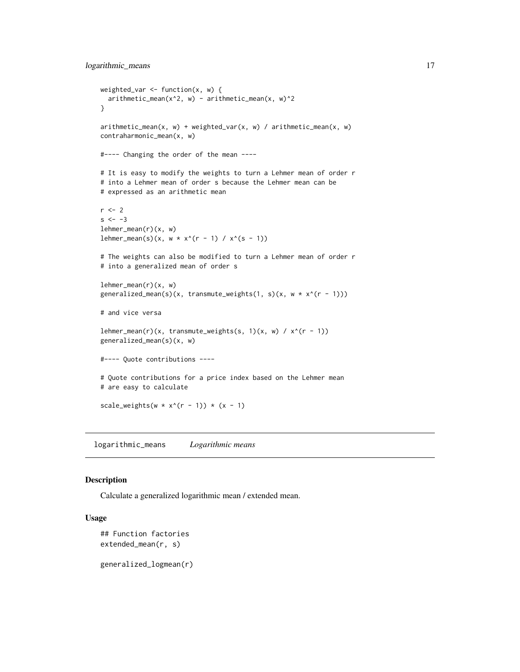```
weighted_var \leq function(x, w) {
  arithmetic_mean(x^2, w) - arithmetic_mean(x, w)^2}
arithmetic_mean(x, w) + weighted_var(x, w) / arithmetic_mean(x, w)contraharmonic_mean(x, w)
#---- Changing the order of the mean ----
# It is easy to modify the weights to turn a Lehmer mean of order r
# into a Lehmer mean of order s because the Lehmer mean can be
# expressed as an arithmetic mean
r < -2s < - -3lehmer_mean(r)(x, w)
lehmer_mean(s)(x, w * x^(r - 1) / x^(s - 1))# The weights can also be modified to turn a Lehmer mean of order r
# into a generalized mean of order s
lehmer_mean(r)(x, w)generalized_mean(s)(x, transmute_weights(1, s)(x, w * x^*(r - 1)))
# and vice versa
lehmer_mean(r)(x, transmute_weights(s, 1)(x, w) / x^{(r - 1)})
generalized_mean(s)(x, w)
#---- Quote contributions ----
# Quote contributions for a price index based on the Lehmer mean
# are easy to calculate
scale_weights(w * x^*(r - 1)) * (x - 1)
```
logarithmic\_means *Logarithmic means*

# <span id="page-16-1"></span>Description

Calculate a generalized logarithmic mean / extended mean.

# Usage

```
## Function factories
extended_mean(r, s)
```
generalized\_logmean(r)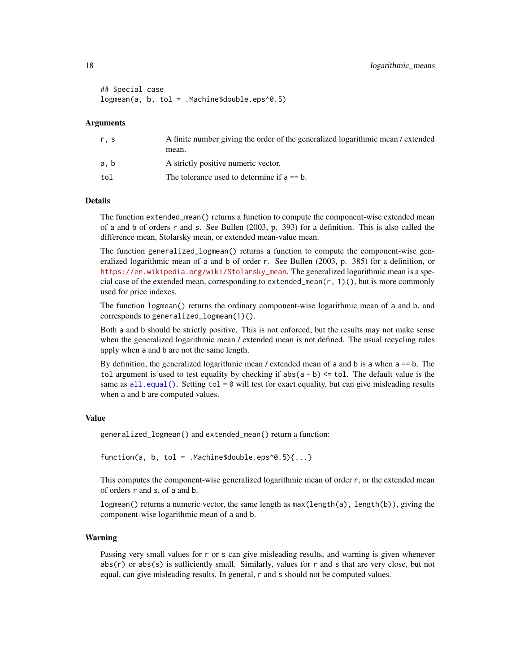```
## Special case
logmean(a, b, tol = .Machine$double.eps^0.5)
```
# Arguments

| r.s | A finite number giving the order of the generalized logarithmic mean / extended |
|-----|---------------------------------------------------------------------------------|
|     | mean.                                                                           |
| a.b | A strictly positive numeric vector.                                             |
| tol | The tolerance used to determine if $a == b$ .                                   |
|     |                                                                                 |

# Details

The function extended\_mean() returns a function to compute the component-wise extended mean of a and b of orders r and s. See Bullen (2003, p. 393) for a definition. This is also called the difference mean, Stolarsky mean, or extended mean-value mean.

The function generalized\_logmean() returns a function to compute the component-wise generalized logarithmic mean of a and b of order r. See Bullen (2003, p. 385) for a definition, or [https://en.wikipedia.org/wiki/Stolarsky\\_mean](https://en.wikipedia.org/wiki/Stolarsky_mean). The generalized logarithmic mean is a special case of the extended mean, corresponding to extended\_mean( $r$ , 1)(), but is more commonly used for price indexes.

The function logmean() returns the ordinary component-wise logarithmic mean of a and b, and corresponds to generalized\_logmean(1)().

Both a and b should be strictly positive. This is not enforced, but the results may not make sense when the generalized logarithmic mean / extended mean is not defined. The usual recycling rules apply when a and b are not the same length.

By definition, the generalized logarithmic mean / extended mean of a and b is a when a == b. The tol argument is used to test equality by checking if  $abs(a - b) \le$  tol. The default value is the same as  $all.equal()$ . Setting tol = 0 will test for exact equality, but can give misleading results when a and b are computed values.

#### Value

generalized\_logmean() and extended\_mean() return a function:

```
function(a, b, tol = .Machine$double.eps^0.5)\{... \}
```
This computes the component-wise generalized logarithmic mean of order r, or the extended mean of orders r and s, of a and b.

logmean() returns a numeric vector, the same length as max(length(a), length(b)), giving the component-wise logarithmic mean of a and b.

## Warning

Passing very small values for r or s can give misleading results, and warning is given whenever abs(r) or abs(s) is sufficiently small. Similarly, values for r and s that are very close, but not equal, can give misleading results. In general, r and s should not be computed values.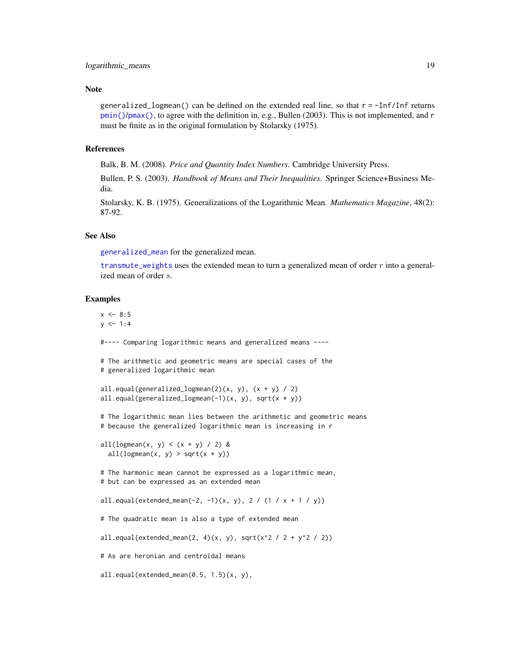# <span id="page-18-0"></span>Note

generalized\_logmean() can be defined on the extended real line, so that r = -Inf/Inf returns [pmin\(\)](#page-0-0)/[pmax\(\)](#page-0-0), to agree with the definition in, e.g., Bullen (2003). This is not implemented, and r must be finite as in the original formulation by Stolarsky (1975).

# References

Balk, B. M. (2008). *Price and Quantity Index Numbers*. Cambridge University Press.

Bullen, P. S. (2003). *Handbook of Means and Their Inequalities*. Springer Science+Business Media.

Stolarsky, K. B. (1975). Generalizations of the Logarithmic Mean. *Mathematics Magazine*, 48(2): 87-92.

# See Also

[generalized\\_mean](#page-9-1) for the generalized mean.

[transmute\\_weights](#page-38-0) uses the extended mean to turn a generalized mean of order  $r$  into a generalized mean of order s.

# Examples

 $x \le -8:5$  $y \le -1:4$ #---- Comparing logarithmic means and generalized means ---- # The arithmetic and geometric means are special cases of the # generalized logarithmic mean all.equal(generalized\_logmean(2)(x, y),  $(x + y) / 2$ ) all.equal(generalized\_logmean(-1)(x, y), sqrt(x \* y)) # The logarithmic mean lies between the arithmetic and geometric means # because the generalized logarithmic mean is increasing in r all(logmean(x, y) <  $(x + y) / 2$ ) & all(logmean(x, y) > sqrt(x  $*$  y)) # The harmonic mean cannot be expressed as a logarithmic mean, # but can be expressed as an extended mean all.equal(extended\_mean(-2, -1)(x, y), 2 / (1 / x + 1 / y)) # The quadratic mean is also a type of extended mean all.equal(extended\_mean(2, 4)(x, y), sqrt(x^2 / 2 + y^2 / 2)) # As are heronian and centroidal means all.equal(extended\_mean(0.5, 1.5)(x, y),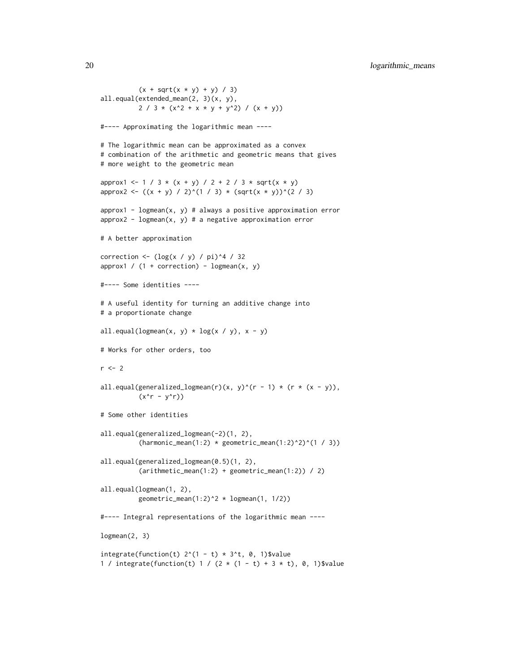```
(x + sqrt(x * y) + y) / 3)all.equal(extended_mean(2, 3)(x, y),
         2 / 3 * (x^2 + x * y + y^2) / (x + y))#---- Approximating the logarithmic mean ----
# The logarithmic mean can be approximated as a convex
# combination of the arithmetic and geometric means that gives
# more weight to the geometric mean
approx1 <- 1 / 3 * (x + y) / 2 + 2 / 3 * sqrt(x * y)approx2 <- ((x + y) / 2)^{2} (1 / 3) * (sqrt(x * y))^{2} (2 / 3)approx1 - logmean(x, y) # always a positive approximation error
approx2 - logmean(x, y) # a negative approximation error
# A better approximation
correction <- (\log(x / y) / \pi)^4 / 32
approx1 / (1 + correction) - logmean(x, y)#---- Some identities ----
# A useful identity for turning an additive change into
# a proportionate change
all.equal(logmean(x, y) * log(x / y), x - y)
# Works for other orders, too
r < -2all.equal(generalized_logmean(r)(x, y)^(r - 1) * (r * (x - y)),
          (x^r - y^r)# Some other identities
all.equal(generalized_logmean(-2)(1, 2),
          (harmonic_mean(1:2) * geometric_mean(1:2)^2)all.equal(generalized_logmean(0.5)(1, 2),
          (arithmetic_mean(1:2) + geometric_mean(1:2)) / 2)
all.equal(logmean(1, 2),
          geometric_mean(1:2)^2 * logmean(1, 1/2))
#---- Integral representations of the logarithmic mean ----
logmean(2, 3)
integrate(function(t) 2^{(1 - t)} * 3^{t}, 0, 1)$value
1 / integrate(function(t) 1 / (2 * (1 - t) + 3 * t), 0, 1)$value
```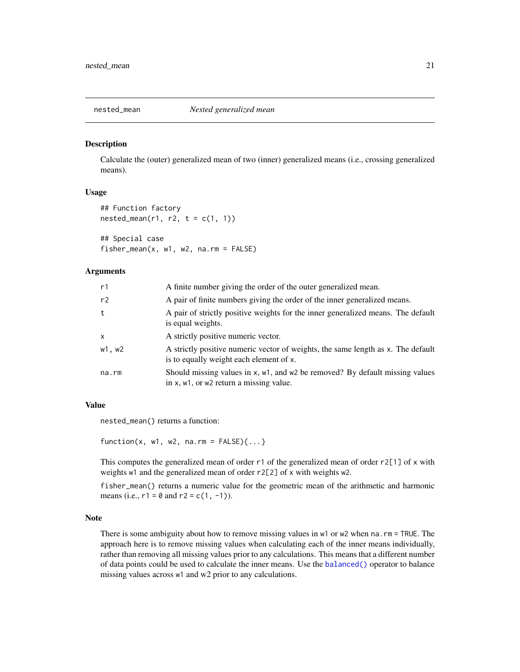<span id="page-20-1"></span><span id="page-20-0"></span>

# Description

Calculate the (outer) generalized mean of two (inner) generalized means (i.e., crossing generalized means).

# Usage

```
## Function factory
nested_mean(r1, r2, t = c(1, 1))
```
## Special case fisher\_mean(x,  $w1$ ,  $w2$ , na.rm = FALSE)

# Arguments

| r1           | A finite number giving the order of the outer generalized mean.                                                             |
|--------------|-----------------------------------------------------------------------------------------------------------------------------|
| r2           | A pair of finite numbers giving the order of the inner generalized means.                                                   |
| t            | A pair of strictly positive weights for the inner generalized means. The default<br>is equal weights.                       |
| $\mathsf{x}$ | A strictly positive numeric vector.                                                                                         |
| w1, w2       | A strictly positive numeric vector of weights, the same length as x. The default<br>is to equally weight each element of x. |
| na.rm        | Should missing values in x, w1, and w2 be removed? By default missing values<br>in x, w1, or w2 return a missing value.     |

#### Value

nested\_mean() returns a function:

 $function(x, w1, w2, na.rm = FALSE){...}$ 

This computes the generalized mean of order r1 of the generalized mean of order r2[1] of x with weights w1 and the generalized mean of order r2[2] of x with weights w2.

fisher\_mean() returns a numeric value for the geometric mean of the arithmetic and harmonic means (i.e.,  $r1 = 0$  and  $r2 = c(1, -1)$ ).

# Note

There is some ambiguity about how to remove missing values in w1 or w2 when na.rm = TRUE. The approach here is to remove missing values when calculating each of the inner means individually, rather than removing all missing values prior to any calculations. This means that a different number of data points could be used to calculate the inner means. Use the [balanced\(\)](#page-24-1) operator to balance missing values across w1 and w2 prior to any calculations.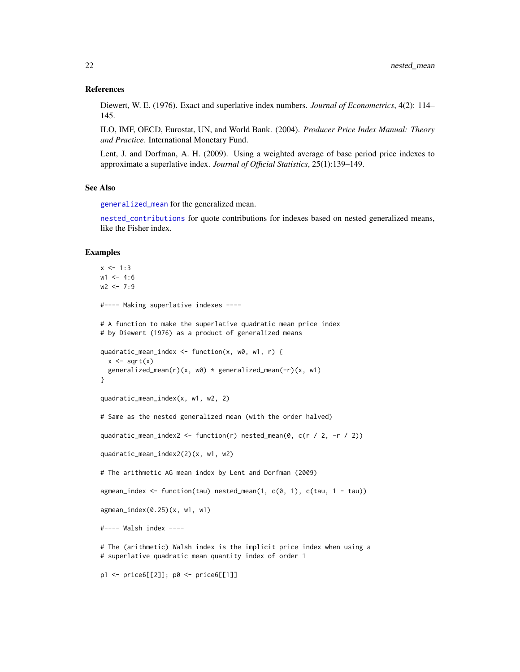# <span id="page-21-0"></span>References

Diewert, W. E. (1976). Exact and superlative index numbers. *Journal of Econometrics*, 4(2): 114– 145.

ILO, IMF, OECD, Eurostat, UN, and World Bank. (2004). *Producer Price Index Manual: Theory and Practice*. International Monetary Fund.

Lent, J. and Dorfman, A. H. (2009). Using a weighted average of base period price indexes to approximate a superlative index. *Journal of Official Statistics*, 25(1):139–149.

# See Also

[generalized\\_mean](#page-9-1) for the generalized mean.

[nested\\_contributions](#page-3-2) for quote contributions for indexes based on nested generalized means, like the Fisher index.

#### Examples

```
x \le -1:3w1 < -4:6w2 < -7:9#---- Making superlative indexes ----
# A function to make the superlative quadratic mean price index
# by Diewert (1976) as a product of generalized means
quadratic_mean_index <- function(x, w0, w1, r) {
  x \leftarrow sqrt(x)generalized_mean(r)(x, w0) * generalized_mean(-r)(x, w1)
}
quadratic_mean_index(x, w1, w2, 2)
# Same as the nested generalized mean (with the order halved)
quadratic_mean_index2 <- function(r) nested_mean(0, c(r / 2, -r / 2))
quadratic_mean_index2(2)(x, w1, w2)
# The arithmetic AG mean index by Lent and Dorfman (2009)
agmean_index <- function(tau) nested_mean(1, c(0, 1), c(tau, 1 - tau))
agmean_index(0.25)(x, w1, w1)
#---- Walsh index ----
# The (arithmetic) Walsh index is the implicit price index when using a
# superlative quadratic mean quantity index of order 1
p1 <- price6[[2]]; p0 <- price6[[1]]
```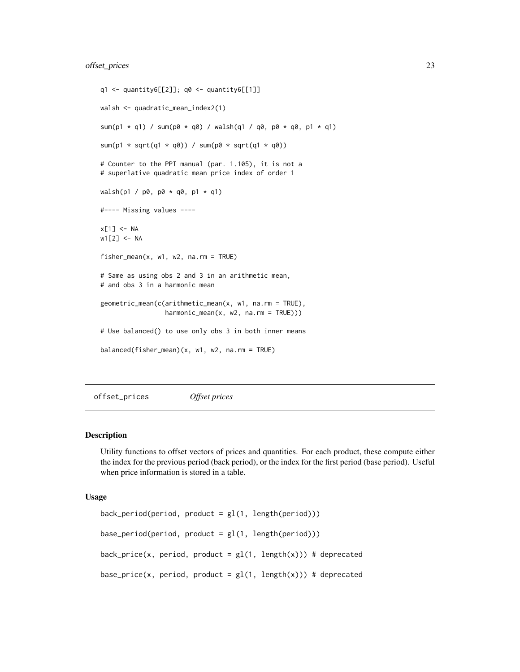```
q1 <- quantity6[[2]]; q0 <- quantity6[[1]]
walsh <- quadratic_mean_index2(1)
sum(p1 * q1) / sum(p0 * q0) / walsh(q1 / q0, p0 * q0, p1 * q1)
sum(p1 * sqrt(q1 * q0)) / sum(p0 * sqrt(q1 * q0))
# Counter to the PPI manual (par. 1.105), it is not a
# superlative quadratic mean price index of order 1
walsh(p1 / p0, p0 * q0, p1 * q1)
#---- Missing values ----
x[1] <- NA
w1[2] <- NA
fisher_mean(x, w1, w2, na.rm = TRUE)
# Same as using obs 2 and 3 in an arithmetic mean,
# and obs 3 in a harmonic mean
geometric_mean(c(arithmetic_mean(x, w1, na.rm = TRUE),
                 harmonic_mean(x, w2, na.rm = TRUE)))
# Use balanced() to use only obs 3 in both inner means
balanced(fisher_mean)(x, w1, w2, na.rm = TRUE)
```
offset\_prices *Offset prices*

# <span id="page-22-1"></span>Description

Utility functions to offset vectors of prices and quantities. For each product, these compute either the index for the previous period (back period), or the index for the first period (base period). Useful when price information is stored in a table.

#### Usage

```
back\_period(period, product = gl(1, length(period)))base\_period(period, product = gl(1, length(period)))back_price(x, period, product = gl(1, length(x))) # deprecated
base_price(x, period, product = gl(1, length(x))) # deprecated
```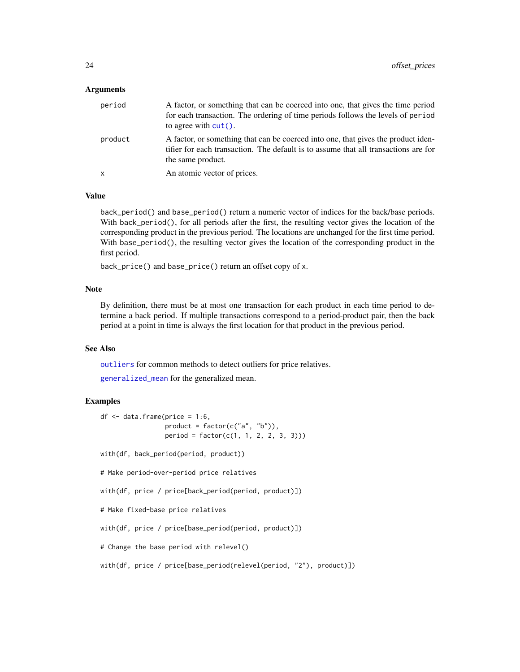# <span id="page-23-0"></span>Arguments

| period  | A factor, or something that can be coerced into one, that gives the time period<br>for each transaction. The ordering of time periods follows the levels of period<br>to agree with $cut()$ . |
|---------|-----------------------------------------------------------------------------------------------------------------------------------------------------------------------------------------------|
| product | A factor, or something that can be coerced into one, that gives the product iden-<br>tifier for each transaction. The default is to assume that all transactions are for<br>the same product. |
| X       | An atomic vector of prices.                                                                                                                                                                   |

# Value

back\_period() and base\_period() return a numeric vector of indices for the back/base periods. With back\_period(), for all periods after the first, the resulting vector gives the location of the corresponding product in the previous period. The locations are unchanged for the first time period. With base\_period(), the resulting vector gives the location of the corresponding product in the first period.

back\_price() and base\_price() return an offset copy of x.

# Note

By definition, there must be at most one transaction for each product in each time period to determine a back period. If multiple transactions correspond to a period-product pair, then the back period at a point in time is always the first location for that product in the previous period.

# See Also

[outliers](#page-26-2) for common methods to detect outliers for price relatives.

[generalized\\_mean](#page-9-1) for the generalized mean.

# Examples

```
df <- data.frame(price = 1:6,
                 product = factor(c("a", "b")),
                 period = factor(c(1, 1, 2, 2, 3, 3)))with(df, back_period(period, product))
# Make period-over-period price relatives
with(df, price / price[back_period(period, product)])
# Make fixed-base price relatives
with(df, price / price[base_period(period, product)])
# Change the base period with relevel()
```
with(df, price / price[base\_period(relevel(period, "2"), product)])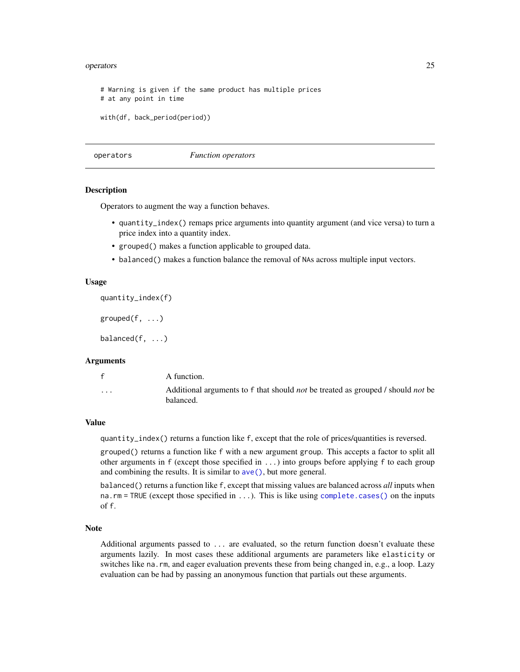#### <span id="page-24-0"></span>operators 25

```
# Warning is given if the same product has multiple prices
# at any point in time
with(df, back_period(period))
```
operators *Function operators*

#### <span id="page-24-1"></span>Description

Operators to augment the way a function behaves.

- quantity\_index() remaps price arguments into quantity argument (and vice versa) to turn a price index into a quantity index.
- grouped() makes a function applicable to grouped data.
- balanced() makes a function balance the removal of NAs across multiple input vectors.

#### Usage

```
quantity_index(f)
```
grouped $(f, \ldots)$ 

 $balanced(f, \ldots)$ 

#### Arguments

|          | A function.                                                                                                |
|----------|------------------------------------------------------------------------------------------------------------|
| $\cdots$ | Additional arguments to f that should <i>not</i> be treated as grouped / should <i>not</i> be<br>balanced. |

# Value

quantity\_index() returns a function like f, except that the role of prices/quantities is reversed.

grouped() returns a function like f with a new argument group. This accepts a factor to split all other arguments in f (except those specified in ...) into groups before applying f to each group and combining the results. It is similar to [ave\(\)](#page-0-0), but more general.

balanced() returns a function like f, except that missing values are balanced across *all* inputs when na.rm = TRUE (except those specified in ...). This is like using [complete.cases\(\)](#page-0-0) on the inputs of f.

#### Note

Additional arguments passed to ... are evaluated, so the return function doesn't evaluate these arguments lazily. In most cases these additional arguments are parameters like elasticity or switches like na.rm, and eager evaluation prevents these from being changed in, e.g., a loop. Lazy evaluation can be had by passing an anonymous function that partials out these arguments.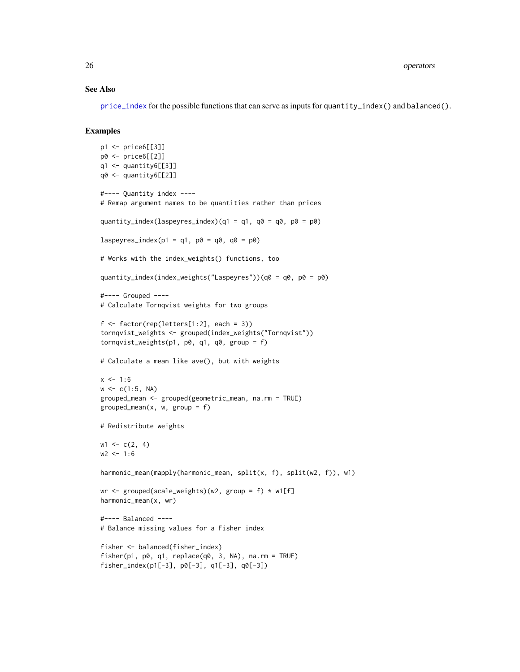# See Also

[price\\_index](#page-29-2) for the possible functions that can serve as inputs for quantity\_index() and balanced().

# Examples

```
p1 <- price6[[3]]
p0 <- price6[[2]]
q1 <- quantity6[[3]]
q0 <- quantity6[[2]]
#---- Quantity index ----
# Remap argument names to be quantities rather than prices
quantity_index(laspeyres_index)(q1 = q1, q0 = q0, p0 = p0)
laspeyres_index(p1 = q1, p0 = q0, q0 = p0)
# Works with the index_weights() functions, too
quantity_index(index_weights("Laspeyres"))(q0 = q0, p0 = p0)
#---- Grouped ----
# Calculate Tornqvist weights for two groups
f \leftarrow factor(rep(leftters[1:2], each = 3))tornqvist_weights <- grouped(index_weights("Tornqvist"))
tornqvist_weights(p1, p0, q1, q0, group = f)
# Calculate a mean like ave(), but with weights
x \le -1:6w \leq c(1:5, NA)grouped_mean <- grouped(geometric_mean, na.rm = TRUE)
grouped_mean(x, w, group = f)
# Redistribute weights
w1 \leq c(2, 4)w2 < -1:6harmonic_mean(mapply(harmonic_mean, split(x, f), split(w2, f)), w1)
wr <- grouped(scale_weights)(w2, group = f) * w1[f]
harmonic_mean(x, wr)
#---- Balanced ----
# Balance missing values for a Fisher index
fisher <- balanced(fisher_index)
fisher(p1, p0, q1, replace(q0, 3, NA), na.rm = TRUE)
fisher_index(p1[-3], p0[-3], q1[-3], q0[-3])
```
<span id="page-25-0"></span>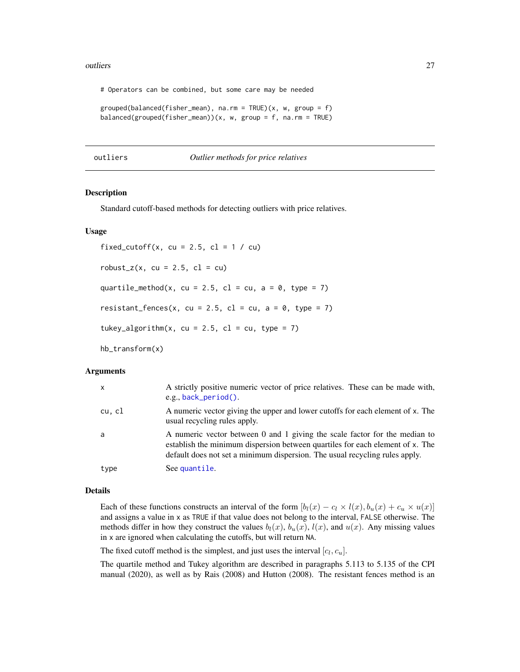#### <span id="page-26-0"></span>outliers 27

# Operators can be combined, but some care may be needed

```
grouped(balanced(fisher_mean), na.rm = TRUE)(x, w, group = f)
balanced(grouped(fisher_mean))(x, w, group = f, na.rm = TRUE)
```
<span id="page-26-2"></span>outliers *Outlier methods for price relatives*

# <span id="page-26-1"></span>**Description**

Standard cutoff-based methods for detecting outliers with price relatives.

# Usage

fixed\_cutoff(x, cu = 2.5, cl = 1 / cu)  $robust_z(x, cu = 2.5, cl = cu)$ quartile\_method(x, cu = 2.5, cl = cu, a = 0, type = 7) resistant\_fences(x, cu = 2.5, cl = cu, a = 0, type = 7) tukey\_algorithm(x, cu = 2.5, cl = cu, type = 7)

hb\_transform(x)

#### Arguments

| $\mathsf{x}$ | A strictly positive numeric vector of price relatives. These can be made with,<br>e.g., back_period().                                                                                                                                     |
|--------------|--------------------------------------------------------------------------------------------------------------------------------------------------------------------------------------------------------------------------------------------|
| cu, cl       | A numeric vector giving the upper and lower cutoffs for each element of x. The<br>usual recycling rules apply.                                                                                                                             |
| a            | A numeric vector between 0 and 1 giving the scale factor for the median to<br>establish the minimum dispersion between quartiles for each element of x. The<br>default does not set a minimum dispersion. The usual recycling rules apply. |
| type         | See quantile.                                                                                                                                                                                                                              |

# Details

Each of these functions constructs an interval of the form  $[b_l(x) - c_l \times l(x), b_u(x) + c_u \times u(x)]$ and assigns a value in x as TRUE if that value does not belong to the interval, FALSE otherwise. The methods differ in how they construct the values  $b_l(x)$ ,  $b_u(x)$ ,  $l(x)$ , and  $u(x)$ . Any missing values in x are ignored when calculating the cutoffs, but will return NA.

The fixed cutoff method is the simplest, and just uses the interval  $[c_l, c_u]$ .

The quartile method and Tukey algorithm are described in paragraphs 5.113 to 5.135 of the CPI manual (2020), as well as by Rais (2008) and Hutton (2008). The resistant fences method is an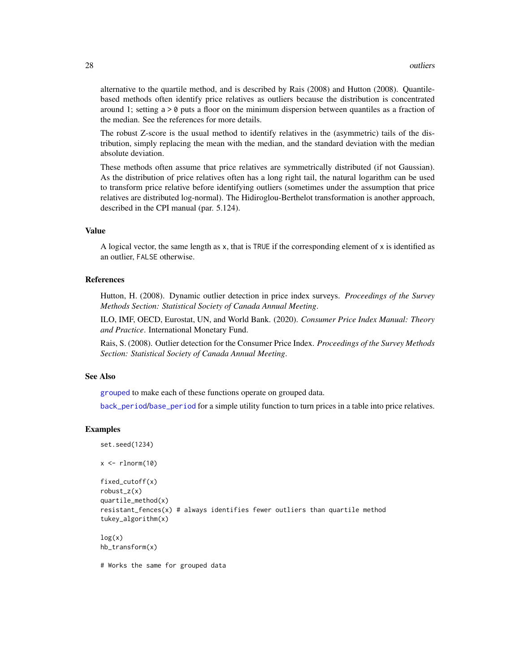alternative to the quartile method, and is described by Rais (2008) and Hutton (2008). Quantilebased methods often identify price relatives as outliers because the distribution is concentrated around 1; setting  $a > 0$  puts a floor on the minimum dispersion between quantiles as a fraction of the median. See the references for more details.

The robust Z-score is the usual method to identify relatives in the (asymmetric) tails of the distribution, simply replacing the mean with the median, and the standard deviation with the median absolute deviation.

These methods often assume that price relatives are symmetrically distributed (if not Gaussian). As the distribution of price relatives often has a long right tail, the natural logarithm can be used to transform price relative before identifying outliers (sometimes under the assumption that price relatives are distributed log-normal). The Hidiroglou-Berthelot transformation is another approach, described in the CPI manual (par. 5.124).

# Value

A logical vector, the same length as x, that is TRUE if the corresponding element of x is identified as an outlier, FALSE otherwise.

# References

Hutton, H. (2008). Dynamic outlier detection in price index surveys. *Proceedings of the Survey Methods Section: Statistical Society of Canada Annual Meeting*.

ILO, IMF, OECD, Eurostat, UN, and World Bank. (2020). *Consumer Price Index Manual: Theory and Practice*. International Monetary Fund.

Rais, S. (2008). Outlier detection for the Consumer Price Index. *Proceedings of the Survey Methods Section: Statistical Society of Canada Annual Meeting*.

# See Also

[grouped](#page-24-1) to make each of these functions operate on grouped data.

[back\\_period](#page-22-1)/[base\\_period](#page-22-1) for a simple utility function to turn prices in a table into price relatives.

# Examples

```
set.seed(1234)
```

```
x \leftarrow \text{rlnorm}(10)
```

```
fixed_cutoff(x)
robust_z(x)
quartile_method(x)
resistant_fences(x) # always identifies fewer outliers than quartile method
tukey_algorithm(x)
```
 $log(x)$ hb\_transform(x)

# Works the same for grouped data

<span id="page-27-0"></span>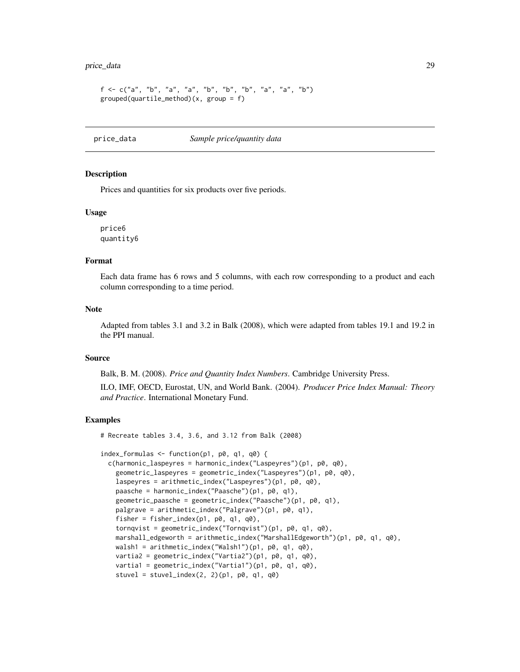# <span id="page-28-0"></span>price\_data 29

```
f \leq c("a", "b", "a", "a", "b", "b", "b", "a", "a", "b"grouped(quartile_method)(x, group = f)
```
price\_data *Sample price/quantity data*

# <span id="page-28-1"></span>Description

Prices and quantities for six products over five periods.

#### Usage

price6 quantity6

# Format

Each data frame has 6 rows and 5 columns, with each row corresponding to a product and each column corresponding to a time period.

# Note

Adapted from tables 3.1 and 3.2 in Balk (2008), which were adapted from tables 19.1 and 19.2 in the PPI manual.

# Source

Balk, B. M. (2008). *Price and Quantity Index Numbers*. Cambridge University Press.

ILO, IMF, OECD, Eurostat, UN, and World Bank. (2004). *Producer Price Index Manual: Theory and Practice*. International Monetary Fund.

# Examples

# Recreate tables 3.4, 3.6, and 3.12 from Balk (2008)

```
index_formulas <- function(p1, p0, q1, q0) {
 c(harmonic_laspeyres = harmonic_index("Laspeyres")(p1, p0, q0),
   geometric_laspeyres = geometric_index("Laspeyres")(p1, p0, q0),
   laspeyres = arithmetic_index("Laspeyres")(p1, p0, q0),
   paasche = harmonic_index("Paasche")(p1, p0, q1),
   geometric_paasche = geometric_index("Paasche")(p1, p0, q1),
   palgrave = arithmetic_index("Palgrave")(p1, p0, q1),
   fisher = fisher_index(p1, p0, q1, q0),
   tornqvist = geometric_index("Tornqvist")(p1, p0, q1, q0),
   marshall_edgeworth = arithmetic_index("MarshallEdgeworth")(p1, p0, q1, q0),
   walsh1 = arithmetic_index("Walsh1")(p1, p0, q1, q0),
   vartia2 = geometric_index("Vartia2")(p1, p0, q1, q0),
   vartia1 = geometric_index("Vartia1")(p1, p0, q1, q0),
   stuvel = stuvel_index(2, 2)(p1, p0, q1, q0)
```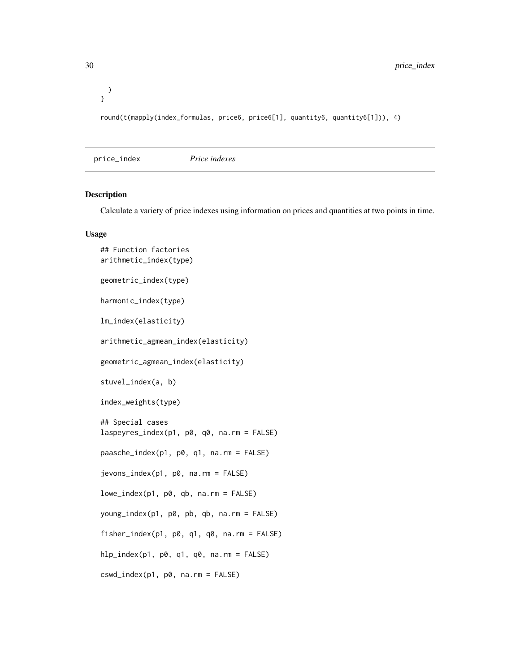<span id="page-29-0"></span>30 price\_index

) } round(t(mapply(index\_formulas, price6, price6[1], quantity6, quantity6[1])), 4)

<span id="page-29-2"></span>price\_index *Price indexes*

# <span id="page-29-1"></span>Description

Calculate a variety of price indexes using information on prices and quantities at two points in time.

# Usage

```
## Function factories
arithmetic_index(type)
geometric_index(type)
harmonic_index(type)
lm_index(elasticity)
arithmetic_agmean_index(elasticity)
geometric_agmean_index(elasticity)
stuvel_index(a, b)
index_weights(type)
## Special cases
laspeyres_index(p1, p0, q0, na.rm = FALSE)
paasche_index(p1, p0, q1, na.rm = FALSE)
jevons_index(p1, p0, na.rm = FALSE)
lowe_index(p1, p0, qb, na.rm = FALSE)
young_index(p1, p0, pb, qb, na.rm = FALSE)
fisher_index(p1, p0, q1, q0, na.rm = FALSE)
hlp_index(p1, p0, q1, q0, na.rm = FALSE)
cswd_index(p1, p0, na.rm = FALSE)
```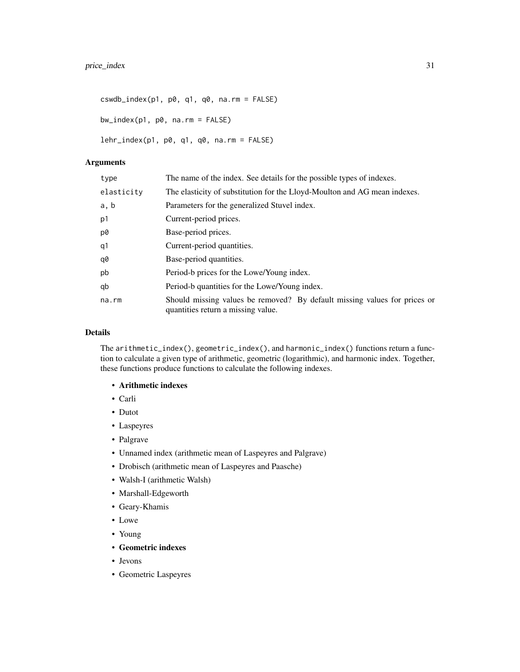$cswdb_index(p1, p0, q1, q0, na.rm = FALSE)$ 

bw\_index(p1, p0, na.rm = FALSE)

lehr\_index(p1, p0, q1, q0, na.rm = FALSE)

# Arguments

| type       | The name of the index. See details for the possible types of indexes.                                           |
|------------|-----------------------------------------------------------------------------------------------------------------|
| elasticity | The elasticity of substitution for the Lloyd-Moulton and AG mean indexes.                                       |
| a, b       | Parameters for the generalized Stuvel index.                                                                    |
| p1         | Current-period prices.                                                                                          |
| p0         | Base-period prices.                                                                                             |
| q1         | Current-period quantities.                                                                                      |
| q0         | Base-period quantities.                                                                                         |
| pb         | Period-b prices for the Lowe/Young index.                                                                       |
| qb         | Period-b quantities for the Lowe/Young index.                                                                   |
| na.rm      | Should missing values be removed? By default missing values for prices or<br>quantities return a missing value. |

# Details

The arithmetic\_index(), geometric\_index(), and harmonic\_index() functions return a function to calculate a given type of arithmetic, geometric (logarithmic), and harmonic index. Together, these functions produce functions to calculate the following indexes.

- Arithmetic indexes
- Carli
- Dutot
- Laspeyres
- Palgrave
- Unnamed index (arithmetic mean of Laspeyres and Palgrave)
- Drobisch (arithmetic mean of Laspeyres and Paasche)
- Walsh-I (arithmetic Walsh)
- Marshall-Edgeworth
- Geary-Khamis
- Lowe
- Young
- Geometric indexes
- Jevons
- Geometric Laspeyres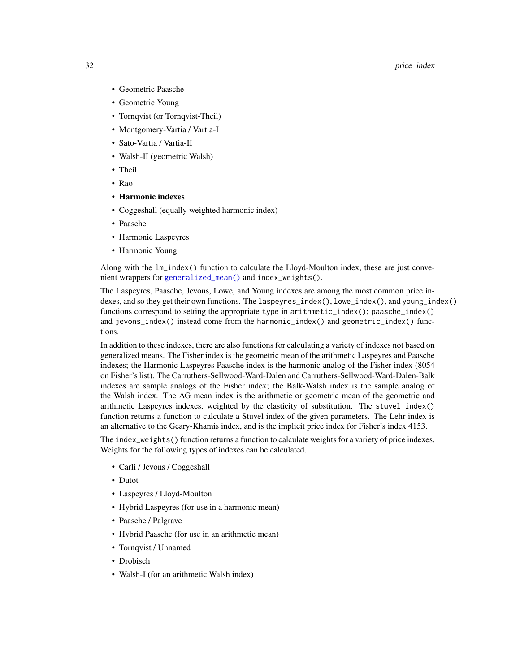- <span id="page-31-0"></span>• Geometric Paasche
- Geometric Young
- Tornqvist (or Tornqvist-Theil)
- Montgomery-Vartia / Vartia-I
- Sato-Vartia / Vartia-II
- Walsh-II (geometric Walsh)
- Theil
- Rao
- Harmonic indexes
- Coggeshall (equally weighted harmonic index)
- Paasche
- Harmonic Laspeyres
- Harmonic Young

Along with the lm\_index() function to calculate the Lloyd-Moulton index, these are just convenient wrappers for [generalized\\_mean\(\)](#page-9-1) and index\_weights().

The Laspeyres, Paasche, Jevons, Lowe, and Young indexes are among the most common price indexes, and so they get their own functions. The laspeyres\_index(), lowe\_index(), and young\_index() functions correspond to setting the appropriate type in arithmetic\_index(); paasche\_index() and jevons\_index() instead come from the harmonic\_index() and geometric\_index() functions.

In addition to these indexes, there are also functions for calculating a variety of indexes not based on generalized means. The Fisher index is the geometric mean of the arithmetic Laspeyres and Paasche indexes; the Harmonic Laspeyres Paasche index is the harmonic analog of the Fisher index (8054 on Fisher's list). The Carruthers-Sellwood-Ward-Dalen and Carruthers-Sellwood-Ward-Dalen-Balk indexes are sample analogs of the Fisher index; the Balk-Walsh index is the sample analog of the Walsh index. The AG mean index is the arithmetic or geometric mean of the geometric and arithmetic Laspeyres indexes, weighted by the elasticity of substitution. The stuvel\_index() function returns a function to calculate a Stuvel index of the given parameters. The Lehr index is an alternative to the Geary-Khamis index, and is the implicit price index for Fisher's index 4153.

The index\_weights() function returns a function to calculate weights for a variety of price indexes. Weights for the following types of indexes can be calculated.

- Carli / Jevons / Coggeshall
- Dutot
- Laspeyres / Lloyd-Moulton
- Hybrid Laspeyres (for use in a harmonic mean)
- Paasche / Palgrave
- Hybrid Paasche (for use in an arithmetic mean)
- Tornqvist / Unnamed
- Drobisch
- Walsh-I (for an arithmetic Walsh index)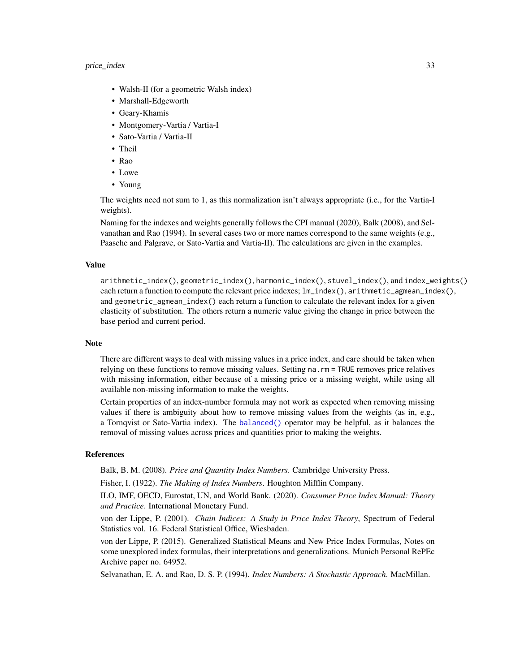# <span id="page-32-0"></span>price\_index 33

- Walsh-II (for a geometric Walsh index)
- Marshall-Edgeworth
- Geary-Khamis
- Montgomery-Vartia / Vartia-I
- Sato-Vartia / Vartia-II
- Theil
- Rao
- Lowe
- Young

The weights need not sum to 1, as this normalization isn't always appropriate (i.e., for the Vartia-I weights).

Naming for the indexes and weights generally follows the CPI manual (2020), Balk (2008), and Selvanathan and Rao (1994). In several cases two or more names correspond to the same weights (e.g., Paasche and Palgrave, or Sato-Vartia and Vartia-II). The calculations are given in the examples.

# Value

arithmetic\_index(), geometric\_index(), harmonic\_index(), stuvel\_index(), and index\_weights() each return a function to compute the relevant price indexes;  $lm\_index()$ , arithmetic\_agmean\_index(), and geometric\_agmean\_index() each return a function to calculate the relevant index for a given elasticity of substitution. The others return a numeric value giving the change in price between the base period and current period.

#### Note

There are different ways to deal with missing values in a price index, and care should be taken when relying on these functions to remove missing values. Setting na.rm = TRUE removes price relatives with missing information, either because of a missing price or a missing weight, while using all available non-missing information to make the weights.

Certain properties of an index-number formula may not work as expected when removing missing values if there is ambiguity about how to remove missing values from the weights (as in, e.g., a Tornqvist or Sato-Vartia index). The [balanced\(\)](#page-24-1) operator may be helpful, as it balances the removal of missing values across prices and quantities prior to making the weights.

#### References

Balk, B. M. (2008). *Price and Quantity Index Numbers*. Cambridge University Press.

Fisher, I. (1922). *The Making of Index Numbers*. Houghton Mifflin Company.

ILO, IMF, OECD, Eurostat, UN, and World Bank. (2020). *Consumer Price Index Manual: Theory and Practice*. International Monetary Fund.

von der Lippe, P. (2001). *Chain Indices: A Study in Price Index Theory*, Spectrum of Federal Statistics vol. 16. Federal Statistical Office, Wiesbaden.

von der Lippe, P. (2015). Generalized Statistical Means and New Price Index Formulas, Notes on some unexplored index formulas, their interpretations and generalizations. Munich Personal RePEc Archive paper no. 64952.

Selvanathan, E. A. and Rao, D. S. P. (1994). *Index Numbers: A Stochastic Approach*. MacMillan.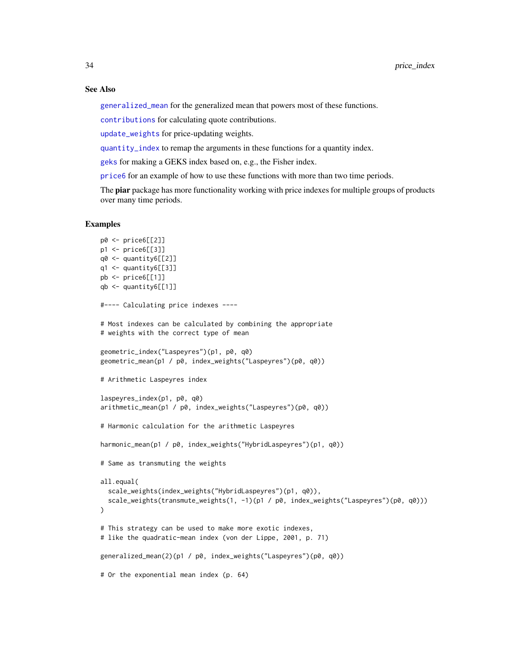# See Also

[generalized\\_mean](#page-9-1) for the generalized mean that powers most of these functions.

[contributions](#page-3-1) for calculating quote contributions.

[update\\_weights](#page-38-0) for price-updating weights.

[quantity\\_index](#page-24-1) to remap the arguments in these functions for a quantity index.

[geks](#page-7-1) for making a GEKS index based on, e.g., the Fisher index.

[price6](#page-28-1) for an example of how to use these functions with more than two time periods.

The piar package has more functionality working with price indexes for multiple groups of products over many time periods.

# Examples

```
p0 <- price6[[2]]
p1 <- price6[[3]]
q0 <- quantity6[[2]]
q1 \leq quantity 6[[3]]
pb <- price6[[1]]
qb \leq - quantity6[[1]]
#---- Calculating price indexes ----
# Most indexes can be calculated by combining the appropriate
# weights with the correct type of mean
geometric_index("Laspeyres")(p1, p0, q0)
geometric_mean(p1 / p0, index_weights("Laspeyres")(p0, q0))
# Arithmetic Laspeyres index
laspeyres_index(p1, p0, q0)
arithmetic_mean(p1 / p0, index_weights("Laspeyres")(p0, q0))
# Harmonic calculation for the arithmetic Laspeyres
harmonic_mean(p1 / p0, index_weights("HybridLaspeyres")(p1, q0))
# Same as transmuting the weights
all.equal(
  scale_weights(index_weights("HybridLaspeyres")(p1, q0)),
  scale_weights(transmute_weights(1, -1)(p1 / p0, index_weights("Laspeyres")(p0, q0)))
)
# This strategy can be used to make more exotic indexes,
# like the quadratic-mean index (von der Lippe, 2001, p. 71)
generalized_mean(2)(p1 / p0, index_weights("Laspeyres")(p0, q0))
# Or the exponential mean index (p. 64)
```
<span id="page-33-0"></span>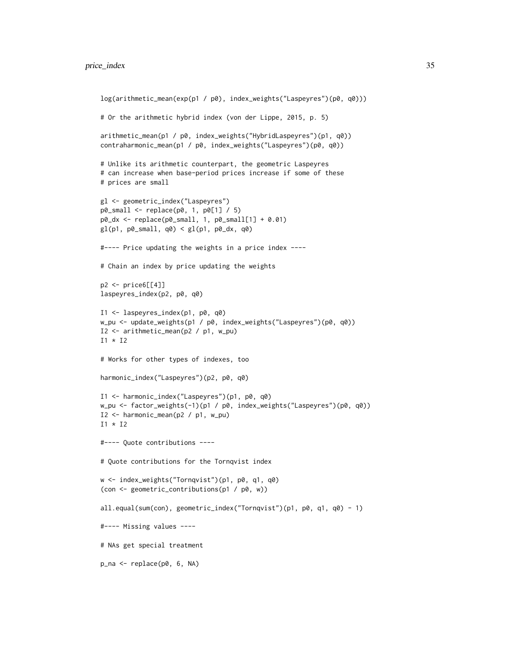```
log(arithmetic_mean(exp(p1 / p0), index_weights("Laspeyres")(p0, q0)))
# Or the arithmetic hybrid index (von der Lippe, 2015, p. 5)
arithmetic_mean(p1 / p0, index_weights("HybridLaspeyres")(p1, q0))
contraharmonic_mean(p1 / p0, index_weights("Laspeyres")(p0, q0))
# Unlike its arithmetic counterpart, the geometric Laspeyres
# can increase when base-period prices increase if some of these
# prices are small
gl <- geometric_index("Laspeyres")
p0_small <- replace(p0, 1, p0[1] / 5)
p0_dx <- replace(p0_small, 1, p0_small[1] + 0.01)
gl(p1, p0 \text{mm} 11, q0) < gl(p1, p0 \text{m}1, q0)#---- Price updating the weights in a price index ----
# Chain an index by price updating the weights
p2 \leq -\text{price6}[[4]]
laspeyres_index(p2, p0, q0)
I1 <- laspeyres_index(p1, p0, q0)
w_pu <- update_weights(p1 / p0, index_weights("Laspeyres")(p0, q0))
I2 <- arithmetic_mean(p2 / p1, w_pu)
I1 * I2
# Works for other types of indexes, too
harmonic_index("Laspeyres")(p2, p0, q0)
I1 <- harmonic_index("Laspeyres")(p1, p0, q0)
w_pu <- factor_weights(-1)(p1 / p0, index_weights("Laspeyres")(p0, q0))
I2 <- harmonic_mean(p2 / p1, w_pu)
I1 * I2#---- Quote contributions ----
# Quote contributions for the Tornqvist index
w <- index_weights("Tornqvist")(p1, p0, q1, q0)
(con <- geometric_contributions(p1 / p0, w))
all.equal(sum(con), geometric_index("Tornqvist")(p1, p0, q1, q0) - 1)
#---- Missing values ----
# NAs get special treatment
p_na <- replace(p0, 6, NA)
```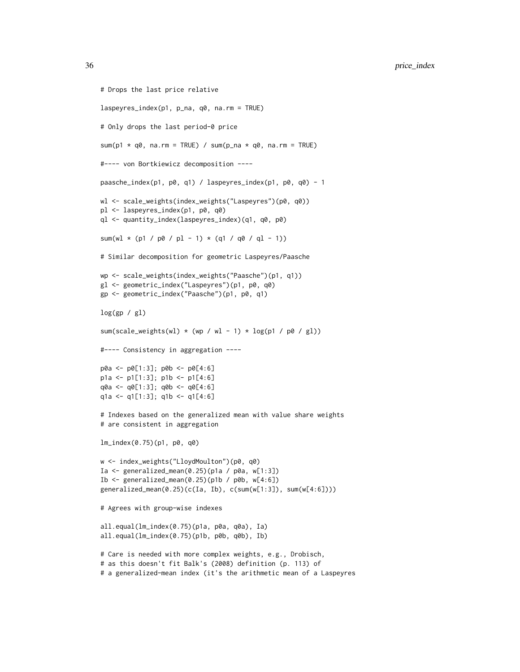```
# Drops the last price relative
laspeyres_index(p1, p_na, q0, na.rm = TRUE)
# Only drops the last period-0 price
sum(p1 * q0, na.rm = TRUE) / sum(p_na * q0, na.rm = TRUE)
#---- von Bortkiewicz decomposition ----
paasche_index(p1, p0, q1) / laspeyres_index(p1, p0, q0) - 1
wl <- scale_weights(index_weights("Laspeyres")(p0, q0))
pl <- laspeyres_index(p1, p0, q0)
ql <- quantity_index(laspeyres_index)(q1, q0, p0)
sum(wl * (p1 / p0 / pl - 1) * (q1 / q0 / ql - 1))
# Similar decomposition for geometric Laspeyres/Paasche
wp <- scale_weights(index_weights("Paasche")(p1, q1))
gl <- geometric_index("Laspeyres")(p1, p0, q0)
gp <- geometric_index("Paasche")(p1, p0, q1)
log(sp / g1)sum(scale_weights(wl) \star (wp / wl - 1) \star log(p1 / p0 / gl))
#---- Consistency in aggregation ----
p0a <- p0[1:3]; p0b <- p0[4:6]
p1a <- p1[1:3]; p1b <- p1[4:6]
q0a <- q0[1:3]; q0b <- q0[4:6]
q1a <- q1[1:3]; q1b <- q1[4:6]
# Indexes based on the generalized mean with value share weights
# are consistent in aggregation
lm_index(0.75)(p1, p0, q0)
w <- index_weights("LloydMoulton")(p0, q0)
Ia <- generalized_mean(0.25)(p1a / p0a, w[1:3])
Ib \leq generalized_mean(0.25)(p1b / p0b, w[4:6])
generalized_mean(0.25)(c(Ia, Ib), c(sum(w[1:3]), sum(w[4:6])))
# Agrees with group-wise indexes
all.equal(lm_index(0.75)(p1a, p0a, q0a), Ia)
all.equal(lm_index(0.75)(p1b, p0b, q0b), Ib)
# Care is needed with more complex weights, e.g., Drobisch,
# as this doesn't fit Balk's (2008) definition (p. 113) of
# a generalized-mean index (it's the arithmetic mean of a Laspeyres
```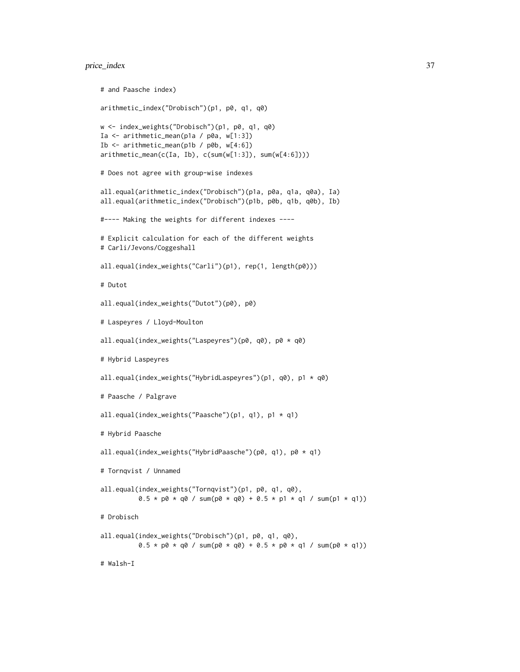# price\_index 37

```
# and Paasche index)
arithmetic_index("Drobisch")(p1, p0, q1, q0)
w <- index_weights("Drobisch")(p1, p0, q1, q0)
Ia <- arithmetic_mean(p1a / p0a, w[1:3])
Ib <- arithmetic_mean(p1b / p0b, w[4:6])
arithmetic_mean(c(Ia, Ib), c(sum(w[1:3]), sum(w[4:6])))
# Does not agree with group-wise indexes
all.equal(arithmetic_index("Drobisch")(p1a, p0a, q1a, q0a), Ia)
all.equal(arithmetic_index("Drobisch")(p1b, p0b, q1b, q0b), Ib)
#---- Making the weights for different indexes ----
# Explicit calculation for each of the different weights
# Carli/Jevons/Coggeshall
all.equal(index_weights("Carli")(p1), rep(1, length(p0)))
# Dutot
all.equal(index_weights("Dutot")(p0), p0)
# Laspeyres / Lloyd-Moulton
all.equal(index_weights("Laspeyres")(p0, q0), p0 * q0)
# Hybrid Laspeyres
all.equal(index_weights("HybridLaspeyres")(p1, q0), p1 * q0)
# Paasche / Palgrave
all.equal(index_weights("Paasche")(p1, q1), p1 * q1)
# Hybrid Paasche
all.equal(index_weights("HybridPaasche")(p0, q1), p0 * q1)
# Tornqvist / Unnamed
all.equal(index_weights("Tornqvist")(p1, p0, q1, q0),
          0.5 * p0 * q0 / sum(p0 * q0) + 0.5 * p1 * q1 / sum(p1 * q1))# Drobisch
all.equal(index_weights("Drobisch")(p1, p0, q1, q0),
         0.5 * p0 * q0 / sum(p0 * q0) + 0.5 * p0 * q1 / sum(p0 * q1)# Walsh-I
```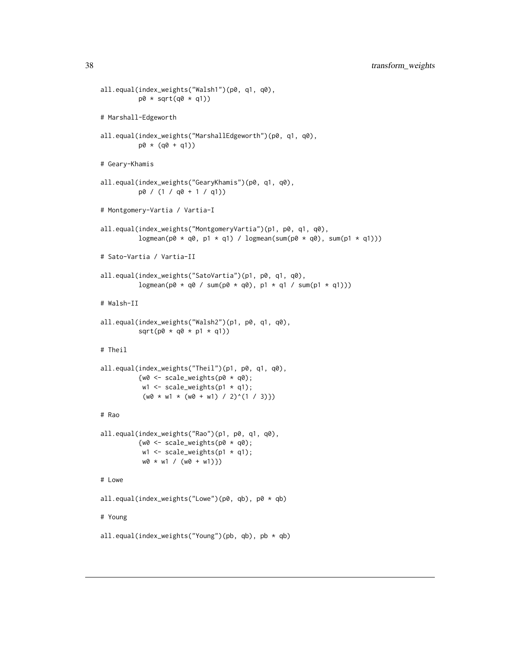```
all.equal(index_weights("Walsh1")(p0, q1, q0),
          p\emptyset * sqrt(q\emptyset * q1))# Marshall-Edgeworth
all.equal(index_weights("MarshallEdgeworth")(p0, q1, q0),
          p0 * (q0 + q1)# Geary-Khamis
all.equal(index_weights("GearyKhamis")(p0, q1, q0),
          p0 / (1 / q0 + 1 / q1))
# Montgomery-Vartia / Vartia-I
all.equal(index_weights("MontgomeryVartia")(p1, p0, q1, q0),
          logmean(p0 * q0, p1 * q1) / logmean(sum(p0 * q0), sum(p1 * q1)))# Sato-Vartia / Vartia-II
all.equal(index_weights("SatoVartia")(p1, p0, q1, q0),
          logmean(p\theta * q\theta / sum(p\theta * q\theta), p1 * q1 / sum(p1 * q1)))# Walsh-II
all.equal(index_weights("Walsh2")(p1, p0, q1, q0),
          sqrt(p0 * q0 * p1 * q1))# Theil
all.equal(index_weights("Theil")(p1, p0, q1, q0),
          {w0 \leftarrow scale\_weights(p0 * q0)};
           w1 <- scale_weights(p1 \times q1);
           (w0 * w1 * (w0 + w1) / 2)^(1 / 3)# Rao
all.equal(index_weights("Rao")(p1, p0, q1, q0),
          {w0 \leftarrow scale\_weights(p0 * q0)};
           w1 <- scale_weights(p1 \times q1);
           w0 * w1 / (w0 + w1)\})# Lowe
all.equal(index_weights("Lowe")(p0, qb), p0 * qb)
# Young
all.equal(index_weights("Young")(pb, qb), pb * qb)
```
<span id="page-37-0"></span>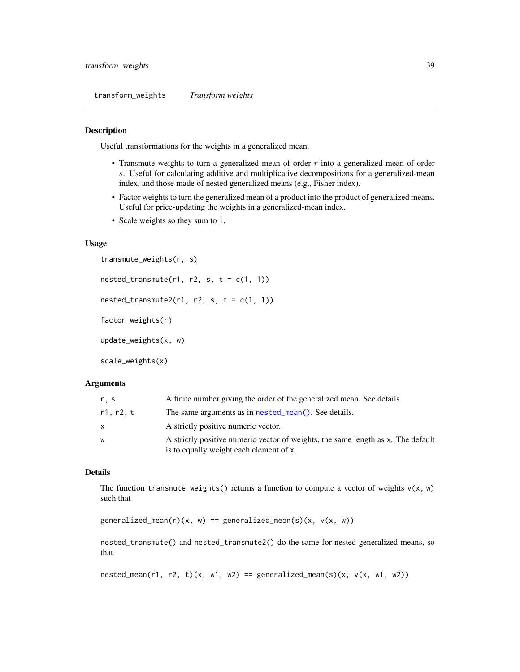<span id="page-38-1"></span>transform\_weights *Transform weights*

# <span id="page-38-0"></span>Description

Useful transformations for the weights in a generalized mean.

- Transmute weights to turn a generalized mean of order  $r$  into a generalized mean of order s. Useful for calculating additive and multiplicative decompositions for a generalized-mean index, and those made of nested generalized means (e.g., Fisher index).
- Factor weights to turn the generalized mean of a product into the product of generalized means. Useful for price-updating the weights in a generalized-mean index.
- Scale weights so they sum to 1.

# Usage

```
transmute_weights(r, s)
nested_transformute(r1, r2, s, t = c(1, 1))nested_transformute2(r1, r2, s, t = c(1, 1))factor_weights(r)
update_weights(x, w)
scale_weights(x)
```
# Arguments

| r, s      | A finite number giving the order of the generalized mean. See details.                                                      |
|-----------|-----------------------------------------------------------------------------------------------------------------------------|
| r1, r2, t | The same arguments as in nested_mean(). See details.                                                                        |
| X         | A strictly positive numeric vector.                                                                                         |
| W         | A strictly positive numeric vector of weights, the same length as x. The default<br>is to equally weight each element of x. |

#### Details

The function transmute\_weights() returns a function to compute a vector of weights  $v(x, w)$ such that

generalized\_mean(r)(x, w) == generalized\_mean(s)(x, v(x, w))

nested\_transmute() and nested\_transmute2() do the same for nested generalized means, so that

```
nested_mean(r1, r2, t)(x, w1, w2) == generalized_mean(s)(x, v(x, w1, w2))
```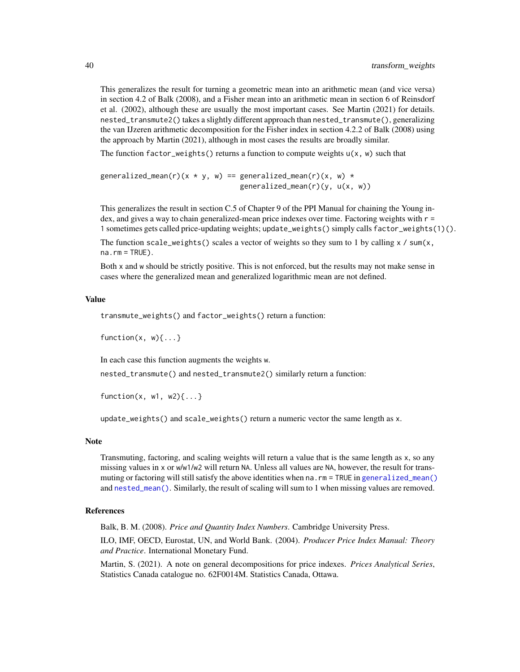This generalizes the result for turning a geometric mean into an arithmetic mean (and vice versa) in section 4.2 of Balk (2008), and a Fisher mean into an arithmetic mean in section 6 of Reinsdorf et al. (2002), although these are usually the most important cases. See Martin (2021) for details. nested\_transmute2() takes a slightly different approach than nested\_transmute(), generalizing the van IJzeren arithmetic decomposition for the Fisher index in section 4.2.2 of Balk (2008) using the approach by Martin (2021), although in most cases the results are broadly similar.

The function factor\_weights() returns a function to compute weights  $u(x, w)$  such that

```
generalized_mean(r)(x * y, w) == generalized_mean(r)(x, w) *generalized_mean(r)(y, u(x, w))
```
This generalizes the result in section C.5 of Chapter 9 of the PPI Manual for chaining the Young index, and gives a way to chain generalized-mean price indexes over time. Factoring weights with r = 1 sometimes gets called price-updating weights; update\_weights() simply calls factor\_weights(1)().

The function scale\_weights() scales a vector of weights so they sum to 1 by calling  $x / \text{sum}(x,$ na.rm = TRUE).

Both x and w should be strictly positive. This is not enforced, but the results may not make sense in cases where the generalized mean and generalized logarithmic mean are not defined.

# Value

transmute\_weights() and factor\_weights() return a function:

function $(x, w)$ {...}

In each case this function augments the weights w.

nested\_transmute() and nested\_transmute2() similarly return a function:

```
function(x, w1, w2){...}
```
update\_weights() and scale\_weights() return a numeric vector the same length as x.

#### Note

Transmuting, factoring, and scaling weights will return a value that is the same length as x, so any missing values in x or w/w1/w2 will return NA. Unless all values are NA, however, the result for transmuting or factoring will still satisfy the above identities when na.rm = TRUE in [generalized\\_mean\(\)](#page-9-1) and [nested\\_mean\(\)](#page-20-1). Similarly, the result of scaling will sum to 1 when missing values are removed.

# References

Balk, B. M. (2008). *Price and Quantity Index Numbers*. Cambridge University Press.

ILO, IMF, OECD, Eurostat, UN, and World Bank. (2004). *Producer Price Index Manual: Theory and Practice*. International Monetary Fund.

Martin, S. (2021). A note on general decompositions for price indexes. *Prices Analytical Series*, Statistics Canada catalogue no. 62F0014M. Statistics Canada, Ottawa.

<span id="page-39-0"></span>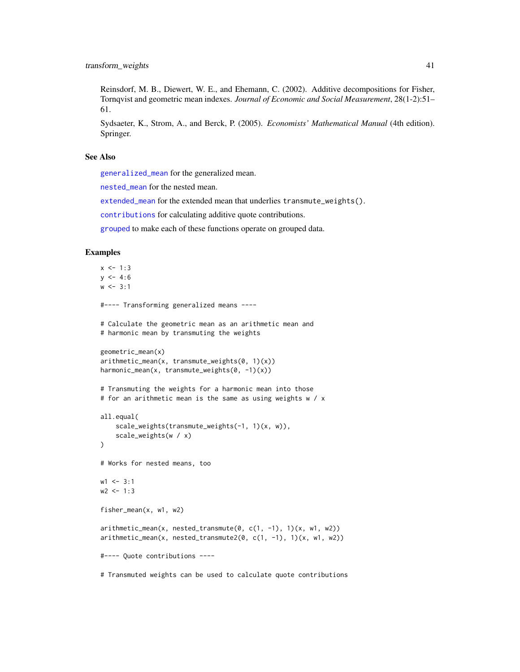<span id="page-40-0"></span>Reinsdorf, M. B., Diewert, W. E., and Ehemann, C. (2002). Additive decompositions for Fisher, Tornqvist and geometric mean indexes. *Journal of Economic and Social Measurement*, 28(1-2):51– 61.

Sydsaeter, K., Strom, A., and Berck, P. (2005). *Economists' Mathematical Manual* (4th edition). Springer.

# See Also

[generalized\\_mean](#page-9-1) for the generalized mean.

[nested\\_mean](#page-20-1) for the nested mean.

[extended\\_mean](#page-16-1) for the extended mean that underlies transmute\_weights().

[contributions](#page-3-1) for calculating additive quote contributions.

[grouped](#page-24-1) to make each of these functions operate on grouped data.

# Examples

```
x < -1:3y \le -4:6w < -3:1#---- Transforming generalized means ----
# Calculate the geometric mean as an arithmetic mean and
# harmonic mean by transmuting the weights
geometric_mean(x)
arithmetic_mean(x, transmute_weights(0, 1)(x))
harmonic_mean(x, transmute_weights(0, -1)(x))
# Transmuting the weights for a harmonic mean into those
# for an arithmetic mean is the same as using weights w / x
all.equal(
    scale_weights(transmute_weights(-1, 1)(x, w)),
    scale_weights(w / x)
)
# Works for nested means, too
w1 < -3:1w2 < -1:3fisher_mean(x, w1, w2)
arithmetic_mean(x, nested_transmute(0, c(1, -1), 1)(x, w1, w2))
arithmetic_mean(x, nested_transmute2(0, c(1, -1), 1)(x, w1, w2))
#---- Quote contributions ----
```
# Transmuted weights can be used to calculate quote contributions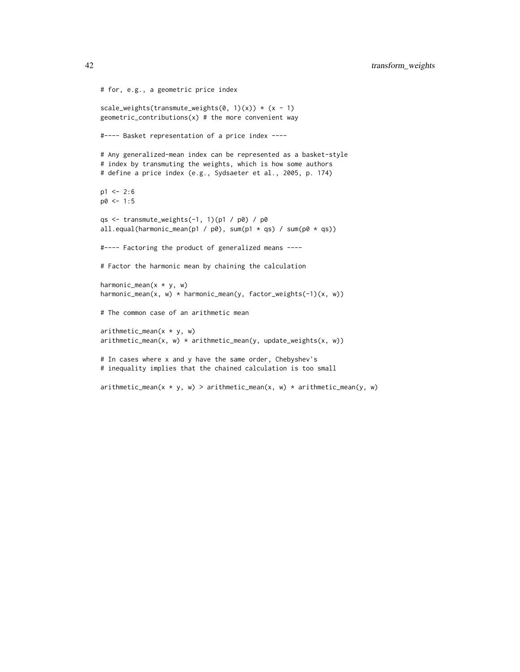```
# for, e.g., a geometric price index
scale_weights(transmute_weights(0, 1)(x)) * (x - 1)geometric\_contributions(x) # the more convenient way
#---- Basket representation of a price index ----
# Any generalized-mean index can be represented as a basket-style
# index by transmuting the weights, which is how some authors
# define a price index (e.g., Sydsaeter et al., 2005, p. 174)
p1 < -2:6p0 \le -1:5qs <- transmute_weights(-1, 1)(p1 / p0) / p0
all.equal(harmonic_mean(p1 / p0), sum(p1 * qs) / sum(p0 * qs))
#---- Factoring the product of generalized means ----
# Factor the harmonic mean by chaining the calculation
harmonic_mean(x * y, w)
harmonic_mean(x, w) * harmonic_mean(y, factor_weights(-1)(x, w))
# The common case of an arithmetic mean
arithmetic_mean(x * y, w)arithmetic_mean(x, w) * arithmetic_mean(y, update_weights(x, w))# In cases where x and y have the same order, Chebyshev's
# inequality implies that the chained calculation is too small
arithmetic_mean(x * y, w) > arithmetic_mean(x, w) * arithmetic_mean(y, w)
```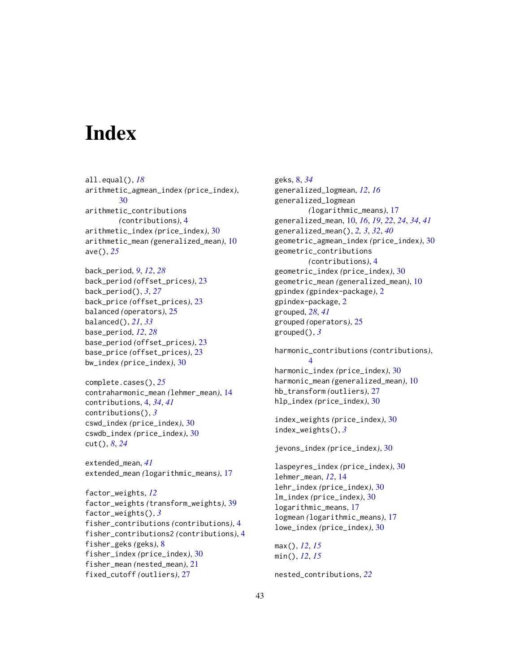# <span id="page-42-0"></span>**Index**

all.equal(), *[18](#page-17-0)* arithmetic\_agmean\_index *(*price\_index*)*, [30](#page-29-0) arithmetic\_contributions *(*contributions*)*, [4](#page-3-0) arithmetic\_index *(*price\_index*)*, [30](#page-29-0) arithmetic\_mean *(*generalized\_mean*)*, [10](#page-9-0) ave(), *[25](#page-24-0)*

back\_period, *[9](#page-8-0)*, *[12](#page-11-0)*, *[28](#page-27-0)* back\_period *(*offset\_prices*)*, [23](#page-22-0) back\_period(), *[3](#page-2-0)*, *[27](#page-26-0)* back\_price *(*offset\_prices*)*, [23](#page-22-0) balanced *(*operators*)*, [25](#page-24-0) balanced(), *[21](#page-20-0)*, *[33](#page-32-0)* base\_period, *[12](#page-11-0)*, *[28](#page-27-0)* base\_period *(*offset\_prices*)*, [23](#page-22-0) base\_price *(*offset\_prices*)*, [23](#page-22-0) bw\_index *(*price\_index*)*, [30](#page-29-0)

```
complete.cases(), 25
contraharmonic_mean (lehmer_mean), 14
contributions, 4, 34, 41
contributions(), 3
cswd_index (price_index), 30
cswdb_index (price_index), 30
cut(), 8, 24
```
extended\_mean, *[41](#page-40-0)* extended\_mean *(*logarithmic\_means*)*, [17](#page-16-0)

factor\_weights, *[12](#page-11-0)* factor\_weights *(*transform\_weights*)*, [39](#page-38-1) factor\_weights(), *[3](#page-2-0)* fisher\_contributions *(*contributions*)*, [4](#page-3-0) fisher\_contributions2 *(*contributions*)*, [4](#page-3-0) fisher\_geks *(*geks*)*, [8](#page-7-0) fisher\_index *(*price\_index*)*, [30](#page-29-0) fisher\_mean *(*nested\_mean*)*, [21](#page-20-0) fixed\_cutoff *(*outliers*)*, [27](#page-26-0)

geks, [8,](#page-7-0) *[34](#page-33-0)* generalized\_logmean, *[12](#page-11-0)*, *[16](#page-15-0)* generalized\_logmean *(*logarithmic\_means*)*, [17](#page-16-0) generalized\_mean, [10,](#page-9-0) *[16](#page-15-0)*, *[19](#page-18-0)*, *[22](#page-21-0)*, *[24](#page-23-0)*, *[34](#page-33-0)*, *[41](#page-40-0)* generalized\_mean(), *[2,](#page-1-0) [3](#page-2-0)*, *[32](#page-31-0)*, *[40](#page-39-0)* geometric\_agmean\_index *(*price\_index*)*, [30](#page-29-0) geometric\_contributions *(*contributions*)*, [4](#page-3-0) geometric\_index *(*price\_index*)*, [30](#page-29-0) geometric\_mean *(*generalized\_mean*)*, [10](#page-9-0) gpindex *(*gpindex-package*)*, [2](#page-1-0) gpindex-package, [2](#page-1-0) grouped, *[28](#page-27-0)*, *[41](#page-40-0)* grouped *(*operators*)*, [25](#page-24-0) grouped(), *[3](#page-2-0)*

harmonic\_contributions *(*contributions*)*, [4](#page-3-0) harmonic\_index *(*price\_index*)*, [30](#page-29-0) harmonic\_mean *(*generalized\_mean*)*, [10](#page-9-0) hb\_transform *(*outliers*)*, [27](#page-26-0) hlp\_index *(*price\_index*)*, [30](#page-29-0)

```
index_weights (price_index), 30
index_weights(), 3
```
jevons\_index *(*price\_index*)*, [30](#page-29-0)

laspeyres\_index *(*price\_index*)*, [30](#page-29-0) lehmer\_mean, *[12](#page-11-0)*, [14](#page-13-0) lehr\_index *(*price\_index*)*, [30](#page-29-0) lm\_index *(*price\_index*)*, [30](#page-29-0) logarithmic\_means, [17](#page-16-0) logmean *(*logarithmic\_means*)*, [17](#page-16-0) lowe\_index *(*price\_index*)*, [30](#page-29-0)

max(), *[12](#page-11-0)*, *[15](#page-14-0)* min(), *[12](#page-11-0)*, *[15](#page-14-0)*

nested\_contributions, *[22](#page-21-0)*